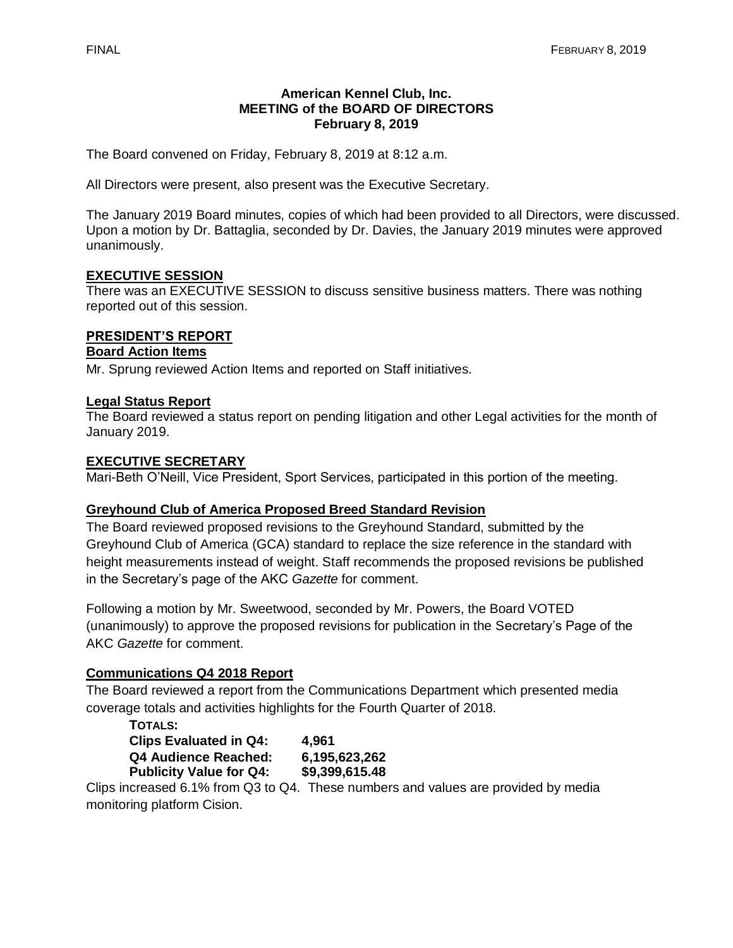#### **American Kennel Club, Inc. MEETING of the BOARD OF DIRECTORS February 8, 2019**

The Board convened on Friday, February 8, 2019 at 8:12 a.m.

All Directors were present, also present was the Executive Secretary.

The January 2019 Board minutes, copies of which had been provided to all Directors, were discussed. Upon a motion by Dr. Battaglia, seconded by Dr. Davies, the January 2019 minutes were approved unanimously.

#### **EXECUTIVE SESSION**

There was an EXECUTIVE SESSION to discuss sensitive business matters. There was nothing reported out of this session.

## **PRESIDENT'S REPORT**

#### **Board Action Items**

Mr. Sprung reviewed Action Items and reported on Staff initiatives.

#### **Legal Status Report**

The Board reviewed a status report on pending litigation and other Legal activities for the month of January 2019.

#### **EXECUTIVE SECRETARY**

Mari-Beth O'Neill, Vice President, Sport Services, participated in this portion of the meeting.

#### **Greyhound Club of America Proposed Breed Standard Revision**

The Board reviewed proposed revisions to the Greyhound Standard, submitted by the Greyhound Club of America (GCA) standard to replace the size reference in the standard with height measurements instead of weight. Staff recommends the proposed revisions be published in the Secretary's page of the AKC *Gazette* for comment.

Following a motion by Mr. Sweetwood, seconded by Mr. Powers, the Board VOTED (unanimously) to approve the proposed revisions for publication in the Secretary's Page of the AKC *Gazette* for comment.

#### **Communications Q4 2018 Report**

The Board reviewed a report from the Communications Department which presented media coverage totals and activities highlights for the Fourth Quarter of 2018.

| <b>TOTALS:</b>                 |                |
|--------------------------------|----------------|
| <b>Clips Evaluated in Q4:</b>  | 4.961          |
| Q4 Audience Reached:           | 6,195,623,262  |
| <b>Publicity Value for Q4:</b> | \$9,399,615.48 |

Clips increased 6.1% from Q3 to Q4. These numbers and values are provided by media monitoring platform Cision.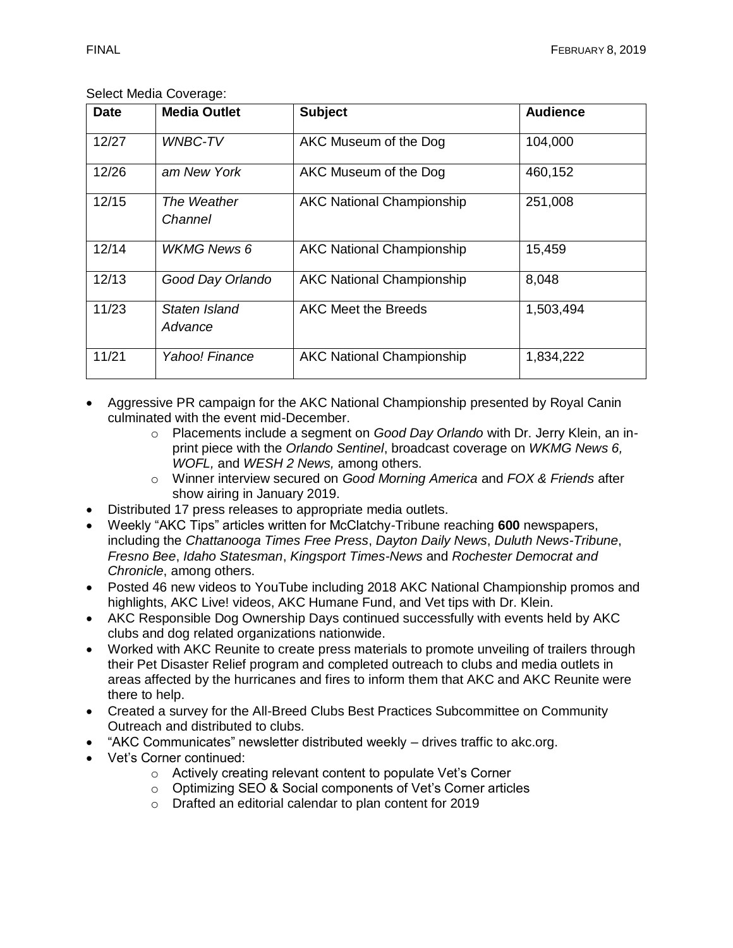#### Select Media Coverage:

| <b>Date</b> | <b>Media Outlet</b>      | <b>Subject</b>                   | <b>Audience</b> |
|-------------|--------------------------|----------------------------------|-----------------|
| 12/27       | <b>WNBC-TV</b>           | AKC Museum of the Dog            | 104,000         |
| 12/26       | am New York              | AKC Museum of the Dog            | 460,152         |
| 12/15       | The Weather<br>Channel   | <b>AKC National Championship</b> | 251,008         |
| 12/14       | <b>WKMG News 6</b>       | <b>AKC National Championship</b> | 15,459          |
| 12/13       | Good Day Orlando         | <b>AKC National Championship</b> | 8,048           |
| 11/23       | Staten Island<br>Advance | <b>AKC Meet the Breeds</b>       | 1,503,494       |
| 11/21       | Yahoo! Finance           | <b>AKC National Championship</b> | 1,834,222       |

• Aggressive PR campaign for the AKC National Championship presented by Royal Canin culminated with the event mid-December.

- o Placements include a segment on *Good Day Orlando* with Dr. Jerry Klein, an inprint piece with the *Orlando Sentinel*, broadcast coverage on *WKMG News 6, WOFL,* and *WESH 2 News,* among others.
- o Winner interview secured on *Good Morning America* and *FOX & Friends* after show airing in January 2019.
- Distributed 17 press releases to appropriate media outlets.
- Weekly "AKC Tips" articles written for McClatchy-Tribune reaching **600** newspapers, including the *Chattanooga Times Free Press*, *Dayton Daily News*, *Duluth News-Tribune*, *Fresno Bee*, *Idaho Statesman*, *Kingsport Times-News* and *Rochester Democrat and Chronicle*, among others.
- Posted 46 new videos to YouTube including 2018 AKC National Championship promos and highlights, AKC Live! videos, AKC Humane Fund, and Vet tips with Dr. Klein.
- AKC Responsible Dog Ownership Days continued successfully with events held by AKC clubs and dog related organizations nationwide.
- Worked with AKC Reunite to create press materials to promote unveiling of trailers through their Pet Disaster Relief program and completed outreach to clubs and media outlets in areas affected by the hurricanes and fires to inform them that AKC and AKC Reunite were there to help.
- Created a survey for the All-Breed Clubs Best Practices Subcommittee on Community Outreach and distributed to clubs.
- "AKC Communicates" newsletter distributed weekly drives traffic to akc.org.
- Vet's Corner continued:
	- o Actively creating relevant content to populate Vet's Corner
	- o Optimizing SEO & Social components of Vet's Corner articles
	- o Drafted an editorial calendar to plan content for 2019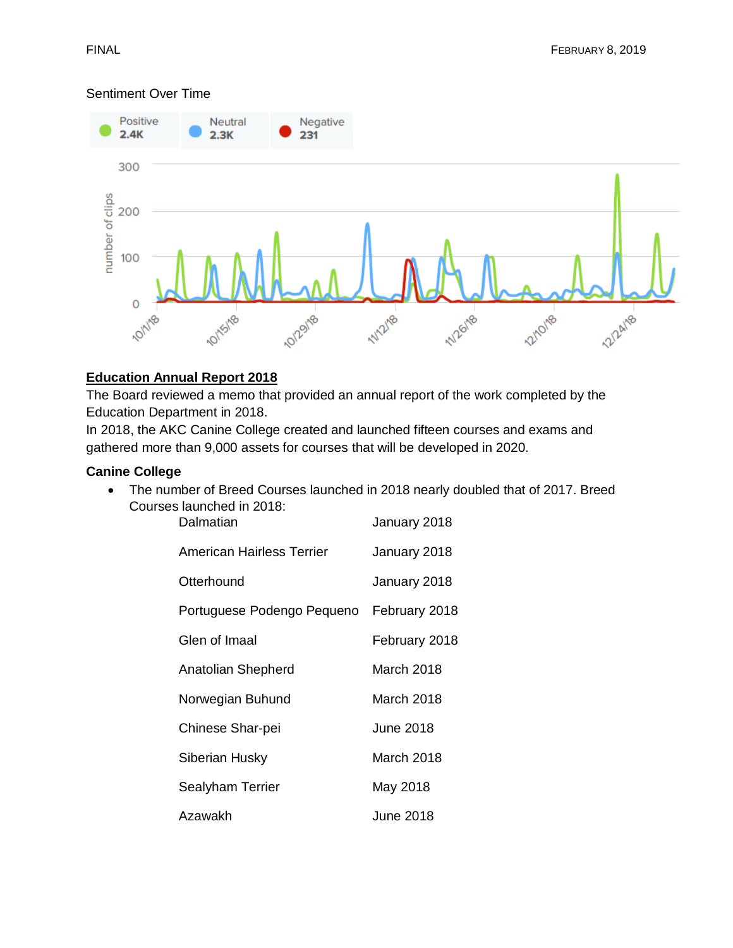## Sentiment Over Time



# **Education Annual Report 2018**

The Board reviewed a memo that provided an annual report of the work completed by the Education Department in 2018.

In 2018, the AKC Canine College created and launched fifteen courses and exams and gathered more than 9,000 assets for courses that will be developed in 2020.

## **Canine College**

• The number of Breed Courses launched in 2018 nearly doubled that of 2017. Breed Courses launched in 2018:

| Dalmatian                  | January 2018     |
|----------------------------|------------------|
| American Hairless Terrier  | January 2018     |
| Otterhound                 | January 2018     |
| Portuguese Podengo Pequeno | February 2018    |
| Glen of Imaal              | February 2018    |
| Anatolian Shepherd         | March 2018       |
| Norwegian Buhund           | March 2018       |
| Chinese Shar-pei           | <b>June 2018</b> |
| Siberian Husky             | March 2018       |
| Sealyham Terrier           | May 2018         |
| Azawakh                    | June 2018        |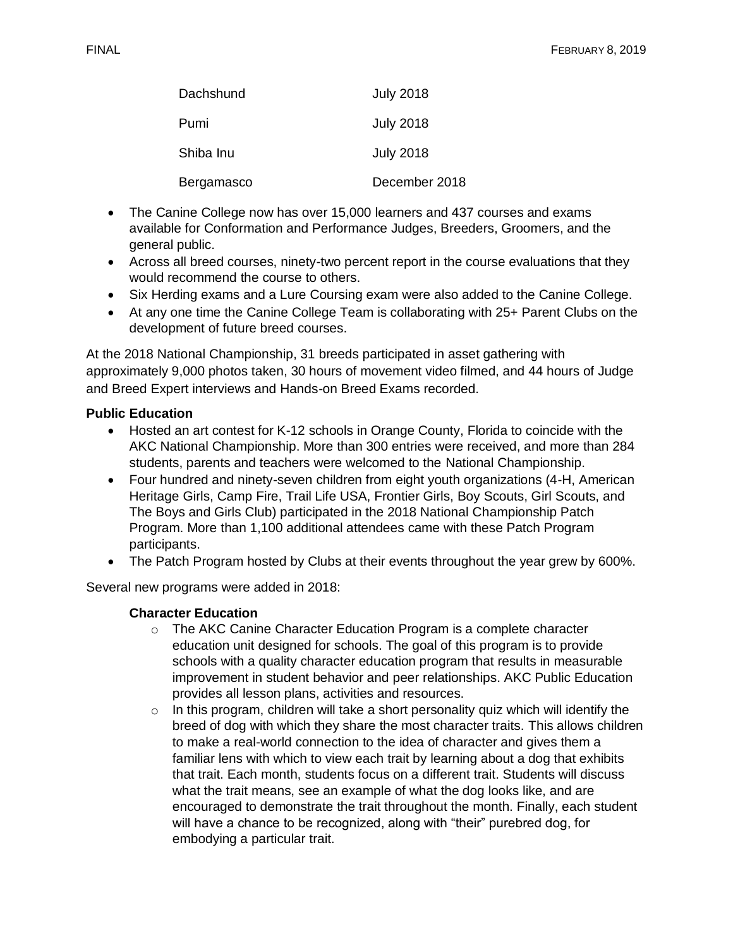| Dachshund  | <b>July 2018</b> |
|------------|------------------|
| Pumi       | <b>July 2018</b> |
| Shiba Inu  | <b>July 2018</b> |
| Bergamasco | December 2018    |

- The Canine College now has over 15,000 learners and 437 courses and exams available for Conformation and Performance Judges, Breeders, Groomers, and the general public.
- Across all breed courses, ninety-two percent report in the course evaluations that they would recommend the course to others.
- Six Herding exams and a Lure Coursing exam were also added to the Canine College.
- At any one time the Canine College Team is collaborating with 25+ Parent Clubs on the development of future breed courses.

At the 2018 National Championship, 31 breeds participated in asset gathering with approximately 9,000 photos taken, 30 hours of movement video filmed, and 44 hours of Judge and Breed Expert interviews and Hands-on Breed Exams recorded.

# **Public Education**

- Hosted an art contest for K-12 schools in Orange County, Florida to coincide with the AKC National Championship. More than 300 entries were received, and more than 284 students, parents and teachers were welcomed to the National Championship.
- Four hundred and ninety-seven children from eight youth organizations (4-H, American Heritage Girls, Camp Fire, Trail Life USA, Frontier Girls, Boy Scouts, Girl Scouts, and The Boys and Girls Club) participated in the 2018 National Championship Patch Program. More than 1,100 additional attendees came with these Patch Program participants.
- The Patch Program hosted by Clubs at their events throughout the year grew by 600%.

Several new programs were added in 2018:

#### **Character Education**

- o The AKC Canine Character Education Program is a complete character education unit designed for schools. The goal of this program is to provide schools with a quality character education program that results in measurable improvement in student behavior and peer relationships. AKC Public Education provides all lesson plans, activities and resources.
- $\circ$  In this program, children will take a short personality quiz which will identify the breed of dog with which they share the most character traits. This allows children to make a real-world connection to the idea of character and gives them a familiar lens with which to view each trait by learning about a dog that exhibits that trait. Each month, students focus on a different trait. Students will discuss what the trait means, see an example of what the dog looks like, and are encouraged to demonstrate the trait throughout the month. Finally, each student will have a chance to be recognized, along with "their" purebred dog, for embodying a particular trait.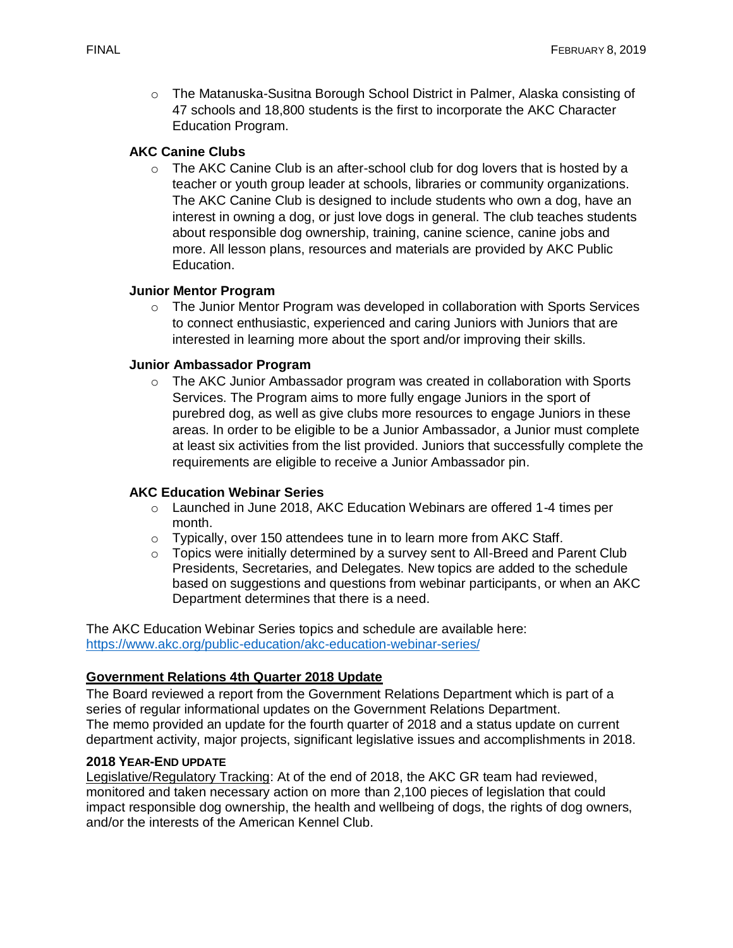$\circ$  The Matanuska-Susitna Borough School District in Palmer, Alaska consisting of 47 schools and 18,800 students is the first to incorporate the AKC Character Education Program.

## **AKC Canine Clubs**

 $\circ$  The AKC Canine Club is an after-school club for dog lovers that is hosted by a teacher or youth group leader at schools, libraries or community organizations. The AKC Canine Club is designed to include students who own a dog, have an interest in owning a dog, or just love dogs in general. The club teaches students about responsible dog ownership, training, canine science, canine jobs and more. All lesson plans, resources and materials are provided by AKC Public Education.

## **Junior Mentor Program**

 $\circ$  The Junior Mentor Program was developed in collaboration with Sports Services to connect enthusiastic, experienced and caring Juniors with Juniors that are interested in learning more about the sport and/or improving their skills.

## **Junior Ambassador Program**

 $\circ$  The AKC Junior Ambassador program was created in collaboration with Sports Services. The Program aims to more fully engage Juniors in the sport of purebred dog, as well as give clubs more resources to engage Juniors in these areas. In order to be eligible to be a Junior Ambassador, a Junior must complete at least six activities from the list provided. Juniors that successfully complete the requirements are eligible to receive a Junior Ambassador pin.

#### **AKC Education Webinar Series**

- $\circ$  Launched in June 2018, AKC Education Webinars are offered 1-4 times per month.
- o Typically, over 150 attendees tune in to learn more from AKC Staff.
- o Topics were initially determined by a survey sent to All-Breed and Parent Club Presidents, Secretaries, and Delegates. New topics are added to the schedule based on suggestions and questions from webinar participants, or when an AKC Department determines that there is a need.

The AKC Education Webinar Series topics and schedule are available here: <https://www.akc.org/public-education/akc-education-webinar-series/>

# **Government Relations 4th Quarter 2018 Update**

The Board reviewed a report from the Government Relations Department which is part of a series of regular informational updates on the Government Relations Department. The memo provided an update for the fourth quarter of 2018 and a status update on current department activity, major projects, significant legislative issues and accomplishments in 2018.

#### **2018 YEAR-END UPDATE**

Legislative/Regulatory Tracking: At of the end of 2018, the AKC GR team had reviewed, monitored and taken necessary action on more than 2,100 pieces of legislation that could impact responsible dog ownership, the health and wellbeing of dogs, the rights of dog owners, and/or the interests of the American Kennel Club.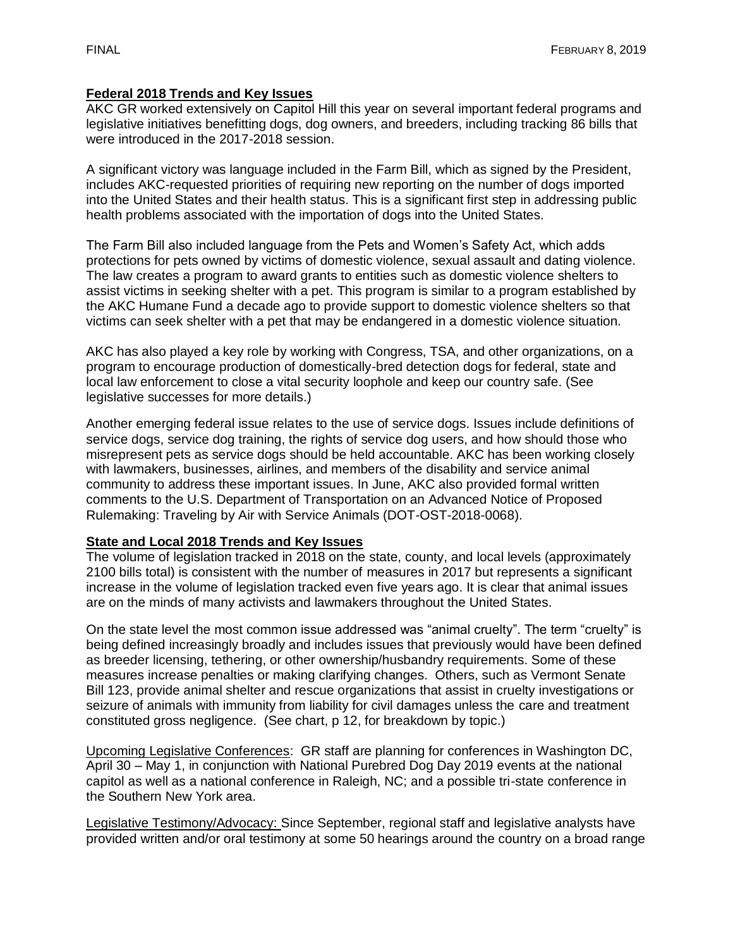#### **Federal 2018 Trends and Key Issues**

AKC GR worked extensively on Capitol Hill this year on several important federal programs and legislative initiatives benefitting dogs, dog owners, and breeders, including tracking 86 bills that were introduced in the 2017-2018 session.

A significant victory was language included in the Farm Bill, which as signed by the President, includes AKC-requested priorities of requiring new reporting on the number of dogs imported into the United States and their health status. This is a significant first step in addressing public health problems associated with the importation of dogs into the United States.

The Farm Bill also included language from the Pets and Women's Safety Act, which adds protections for pets owned by victims of domestic violence, sexual assault and dating violence. The law creates a program to award grants to entities such as domestic violence shelters to assist victims in seeking shelter with a pet. This program is similar to [a program established by](https://www.akchumanefund.org/)  [the AKC Humane Fund](https://www.akchumanefund.org/) a decade ago to provide support to domestic violence shelters so that victims can seek shelter with a pet that may be endangered in a domestic violence situation.

AKC has also played a key role by working with Congress, TSA, and other organizations, on a program to encourage production of domestically-bred detection dogs for federal, state and local law enforcement to close a vital security loophole and keep our country safe. (See legislative successes for more details.)

Another emerging federal issue relates to the use of service dogs. Issues include definitions of service dogs, service dog training, the rights of service dog users, and how should those who misrepresent pets as service dogs should be held accountable. AKC has been working closely with lawmakers, businesses, airlines, and members of the disability and service animal community to address these important issues. In June, AKC also provided formal written comments to the U.S. Department of Transportation on an Advanced Notice of Proposed Rulemaking: Traveling by Air with Service Animals (DOT-OST-2018-0068).

## **State and Local 2018 Trends and Key Issues**

The volume of legislation tracked in 2018 on the state, county, and local levels (approximately 2100 bills total) is consistent with the number of measures in 2017 but represents a significant increase in the volume of legislation tracked even five years ago. It is clear that animal issues are on the minds of many activists and lawmakers throughout the United States.

On the state level the most common issue addressed was "animal cruelty". The term "cruelty" is being defined increasingly broadly and includes issues that previously would have been defined as breeder licensing, tethering, or other ownership/husbandry requirements. Some of these measures increase penalties or making clarifying changes. Others, such as Vermont Senate Bill 123, provide animal shelter and rescue organizations that assist in cruelty investigations or seizure of animals with immunity from liability for civil damages unless the care and treatment constituted gross negligence. (See chart, p 12, for breakdown by topic.)

Upcoming Legislative Conferences: GR staff are planning for conferences in Washington DC, April 30 – May 1, in conjunction with National Purebred Dog Day 2019 events at the national capitol as well as a national conference in Raleigh, NC; and a possible tri-state conference in the Southern New York area.

Legislative Testimony/Advocacy: Since September, regional staff and legislative analysts have provided written and/or oral testimony at some 50 hearings around the country on a broad range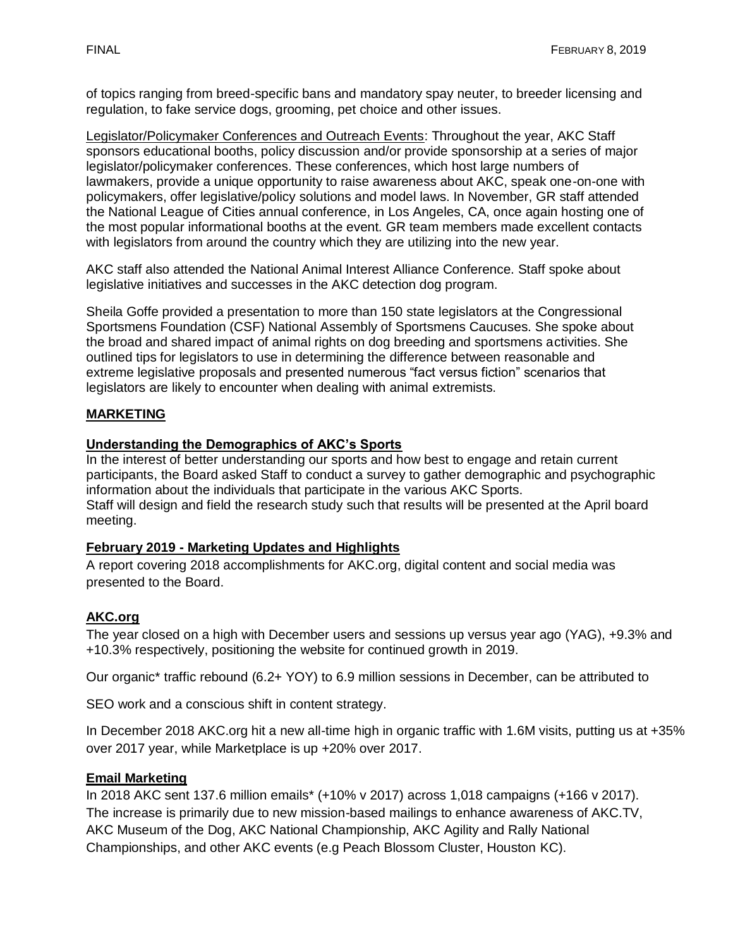of topics ranging from breed-specific bans and mandatory spay neuter, to breeder licensing and regulation, to fake service dogs, grooming, pet choice and other issues.

Legislator/Policymaker Conferences and Outreach Events: Throughout the year, AKC Staff sponsors educational booths, policy discussion and/or provide sponsorship at a series of major legislator/policymaker conferences. These conferences, which host large numbers of lawmakers, provide a unique opportunity to raise awareness about AKC, speak one-on-one with policymakers, offer legislative/policy solutions and model laws. In November, GR staff attended the National League of Cities annual conference, in Los Angeles, CA, once again hosting one of the most popular informational booths at the event. GR team members made excellent contacts with legislators from around the country which they are utilizing into the new year.

AKC staff also attended the National Animal Interest Alliance Conference. Staff spoke about legislative initiatives and successes in the AKC detection dog program.

Sheila Goffe provided a presentation to more than 150 state legislators at the Congressional Sportsmens Foundation (CSF) National Assembly of Sportsmens Caucuses. She spoke about the broad and shared impact of animal rights on dog breeding and sportsmens activities. She outlined tips for legislators to use in determining the difference between reasonable and extreme legislative proposals and presented numerous "fact versus fiction" scenarios that legislators are likely to encounter when dealing with animal extremists.

# **MARKETING**

## **Understanding the Demographics of AKC's Sports**

In the interest of better understanding our sports and how best to engage and retain current participants, the Board asked Staff to conduct a survey to gather demographic and psychographic information about the individuals that participate in the various AKC Sports. Staff will design and field the research study such that results will be presented at the April board meeting.

#### **February 2019 - Marketing Updates and Highlights**

A report covering 2018 accomplishments for AKC.org, digital content and social media was presented to the Board.

# **AKC.org**

The year closed on a high with December users and sessions up versus year ago (YAG), +9.3% and +10.3% respectively, positioning the website for continued growth in 2019.

Our organic\* traffic rebound (6.2+ YOY) to 6.9 million sessions in December, can be attributed to

SEO work and a conscious shift in content strategy.

In December 2018 AKC.org hit a new all-time high in organic traffic with 1.6M visits, putting us at +35% over 2017 year, while Marketplace is up +20% over 2017.

#### **Email Marketing**

In 2018 AKC sent 137.6 million emails\* (+10% v 2017) across 1,018 campaigns (+166 v 2017). The increase is primarily due to new mission-based mailings to enhance awareness of AKC.TV, AKC Museum of the Dog, AKC National Championship, AKC Agility and Rally National Championships, and other AKC events (e.g Peach Blossom Cluster, Houston KC).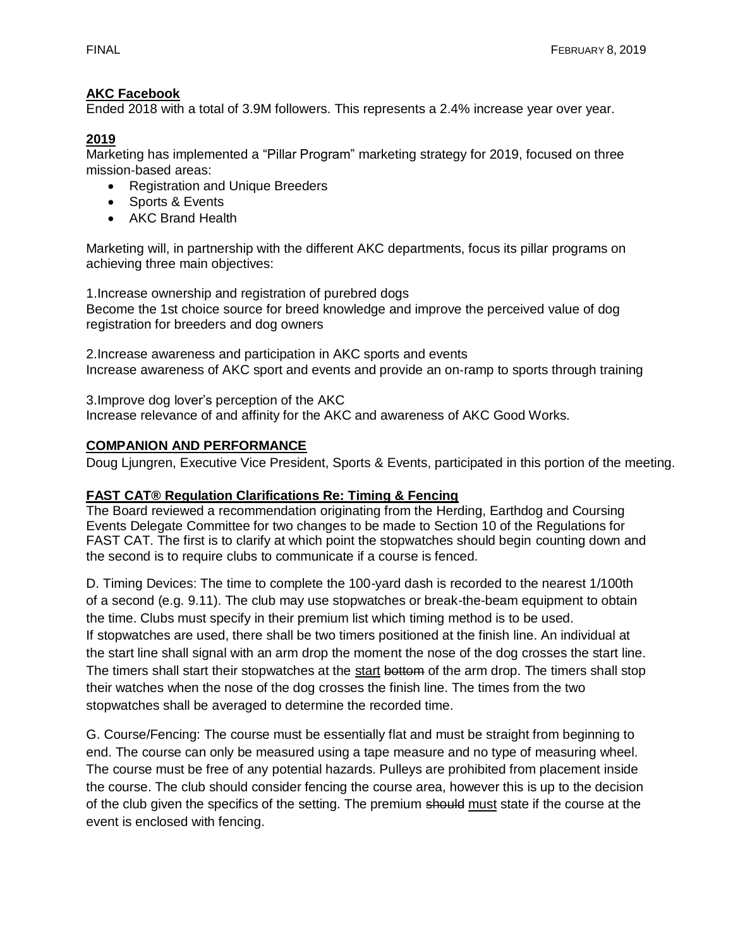#### **AKC Facebook**

Ended 2018 with a total of 3.9M followers. This represents a 2.4% increase year over year.

#### **2019**

Marketing has implemented a "Pillar Program" marketing strategy for 2019, focused on three mission‐based areas:

- Registration and Unique Breeders
- Sports & Events
- AKC Brand Health

Marketing will, in partnership with the different AKC departments, focus its pillar programs on achieving three main objectives:

1.Increase ownership and registration of purebred dogs Become the 1st choice source for breed knowledge and improve the perceived value of dog registration for breeders and dog owners

2.Increase awareness and participation in AKC sports and events Increase awareness of AKC sport and events and provide an on‐ramp to sports through training

3.Improve dog lover's perception of the AKC Increase relevance of and affinity for the AKC and awareness of AKC Good Works.

#### **COMPANION AND PERFORMANCE**

Doug Ljungren, Executive Vice President, Sports & Events, participated in this portion of the meeting.

#### **FAST CAT® Regulation Clarifications Re: Timing & Fencing**

The Board reviewed a recommendation originating from the Herding, Earthdog and Coursing Events Delegate Committee for two changes to be made to Section 10 of the Regulations for FAST CAT. The first is to clarify at which point the stopwatches should begin counting down and the second is to require clubs to communicate if a course is fenced.

D. Timing Devices: The time to complete the 100-yard dash is recorded to the nearest 1/100th of a second (e.g. 9.11). The club may use stopwatches or break-the-beam equipment to obtain the time. Clubs must specify in their premium list which timing method is to be used. If stopwatches are used, there shall be two timers positioned at the finish line. An individual at the start line shall signal with an arm drop the moment the nose of the dog crosses the start line. The timers shall start their stopwatches at the start bottom of the arm drop. The timers shall stop their watches when the nose of the dog crosses the finish line. The times from the two stopwatches shall be averaged to determine the recorded time.

G. Course/Fencing: The course must be essentially flat and must be straight from beginning to end. The course can only be measured using a tape measure and no type of measuring wheel. The course must be free of any potential hazards. Pulleys are prohibited from placement inside the course. The club should consider fencing the course area, however this is up to the decision of the club given the specifics of the setting. The premium should must state if the course at the event is enclosed with fencing.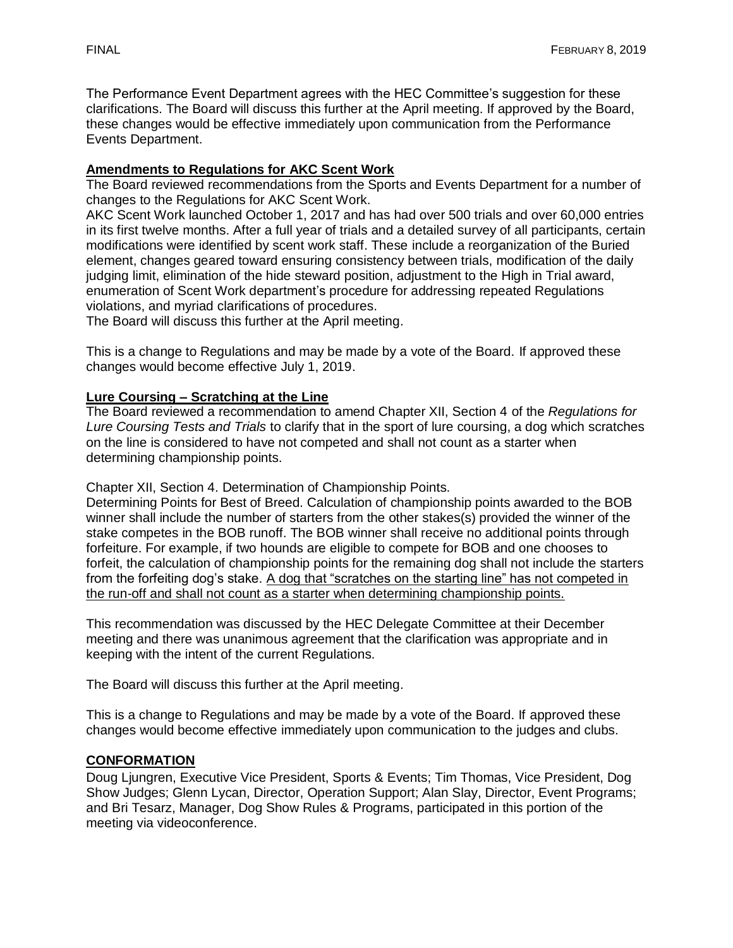The Performance Event Department agrees with the HEC Committee's suggestion for these clarifications. The Board will discuss this further at the April meeting. If approved by the Board, these changes would be effective immediately upon communication from the Performance Events Department.

## **Amendments to Regulations for AKC Scent Work**

The Board reviewed recommendations from the Sports and Events Department for a number of changes to the Regulations for AKC Scent Work.

AKC Scent Work launched October 1, 2017 and has had over 500 trials and over 60,000 entries in its first twelve months. After a full year of trials and a detailed survey of all participants, certain modifications were identified by scent work staff. These include a reorganization of the Buried element, changes geared toward ensuring consistency between trials, modification of the daily judging limit, elimination of the hide steward position, adjustment to the High in Trial award, enumeration of Scent Work department's procedure for addressing repeated Regulations violations, and myriad clarifications of procedures.

The Board will discuss this further at the April meeting.

This is a change to Regulations and may be made by a vote of the Board. If approved these changes would become effective July 1, 2019.

#### **Lure Coursing – Scratching at the Line**

The Board reviewed a recommendation to amend Chapter XII, Section 4 of the *Regulations for Lure Coursing Tests and Trials* to clarify that in the sport of lure coursing, a dog which scratches on the line is considered to have not competed and shall not count as a starter when determining championship points.

Chapter XII, Section 4. Determination of Championship Points.

Determining Points for Best of Breed. Calculation of championship points awarded to the BOB winner shall include the number of starters from the other stakes(s) provided the winner of the stake competes in the BOB runoff. The BOB winner shall receive no additional points through forfeiture. For example, if two hounds are eligible to compete for BOB and one chooses to forfeit, the calculation of championship points for the remaining dog shall not include the starters from the forfeiting dog's stake. A dog that "scratches on the starting line" has not competed in the run-off and shall not count as a starter when determining championship points.

This recommendation was discussed by the HEC Delegate Committee at their December meeting and there was unanimous agreement that the clarification was appropriate and in keeping with the intent of the current Regulations.

The Board will discuss this further at the April meeting.

This is a change to Regulations and may be made by a vote of the Board. If approved these changes would become effective immediately upon communication to the judges and clubs.

#### **CONFORMATION**

Doug Ljungren, Executive Vice President, Sports & Events; Tim Thomas, Vice President, Dog Show Judges; Glenn Lycan, Director, Operation Support; Alan Slay, Director, Event Programs; and Bri Tesarz, Manager, Dog Show Rules & Programs, participated in this portion of the meeting via videoconference.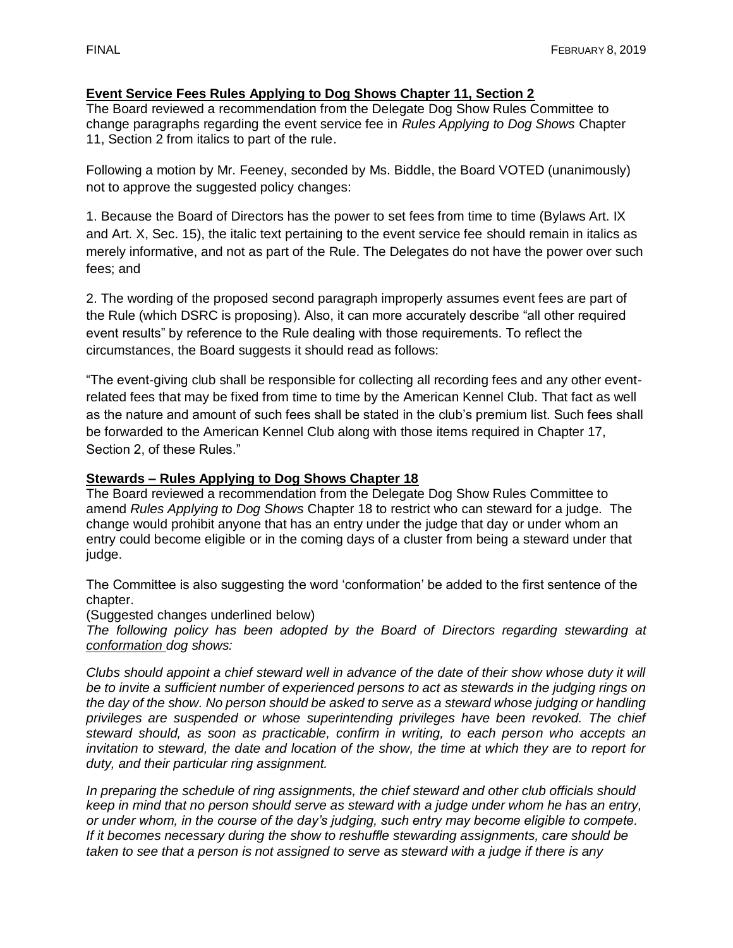#### **Event Service Fees Rules Applying to Dog Shows Chapter 11, Section 2**

The Board reviewed a recommendation from the Delegate Dog Show Rules Committee to change paragraphs regarding the event service fee in *Rules Applying to Dog Shows* Chapter 11, Section 2 from italics to part of the rule.

Following a motion by Mr. Feeney, seconded by Ms. Biddle, the Board VOTED (unanimously) not to approve the suggested policy changes:

1. Because the Board of Directors has the power to set fees from time to time (Bylaws Art. IX and Art. X, Sec. 15), the italic text pertaining to the event service fee should remain in italics as merely informative, and not as part of the Rule. The Delegates do not have the power over such fees; and

2. The wording of the proposed second paragraph improperly assumes event fees are part of the Rule (which DSRC is proposing). Also, it can more accurately describe "all other required event results" by reference to the Rule dealing with those requirements. To reflect the circumstances, the Board suggests it should read as follows:

"The event-giving club shall be responsible for collecting all recording fees and any other eventrelated fees that may be fixed from time to time by the American Kennel Club. That fact as well as the nature and amount of such fees shall be stated in the club's premium list. Such fees shall be forwarded to the American Kennel Club along with those items required in Chapter 17, Section 2, of these Rules."

#### **Stewards – Rules Applying to Dog Shows Chapter 18**

The Board reviewed a recommendation from the Delegate Dog Show Rules Committee to amend *Rules Applying to Dog Shows* Chapter 18 to restrict who can steward for a judge. The change would prohibit anyone that has an entry under the judge that day or under whom an entry could become eligible or in the coming days of a cluster from being a steward under that judge.

The Committee is also suggesting the word 'conformation' be added to the first sentence of the chapter.

(Suggested changes underlined below)

*The following policy has been adopted by the Board of Directors regarding stewarding at conformation dog shows:*

*Clubs should appoint a chief steward well in advance of the date of their show whose duty it will be to invite a sufficient number of experienced persons to act as stewards in the judging rings on the day of the show. No person should be asked to serve as a steward whose judging or handling privileges are suspended or whose superintending privileges have been revoked. The chief steward should, as soon as practicable, confirm in writing, to each person who accepts an invitation to steward, the date and location of the show, the time at which they are to report for duty, and their particular ring assignment.*

*In preparing the schedule of ring assignments, the chief steward and other club officials should keep in mind that no person should serve as steward with a judge under whom he has an entry, or under whom, in the course of the day's judging, such entry may become eligible to compete. If it becomes necessary during the show to reshuffle stewarding assignments, care should be taken to see that a person is not assigned to serve as steward with a judge if there is any*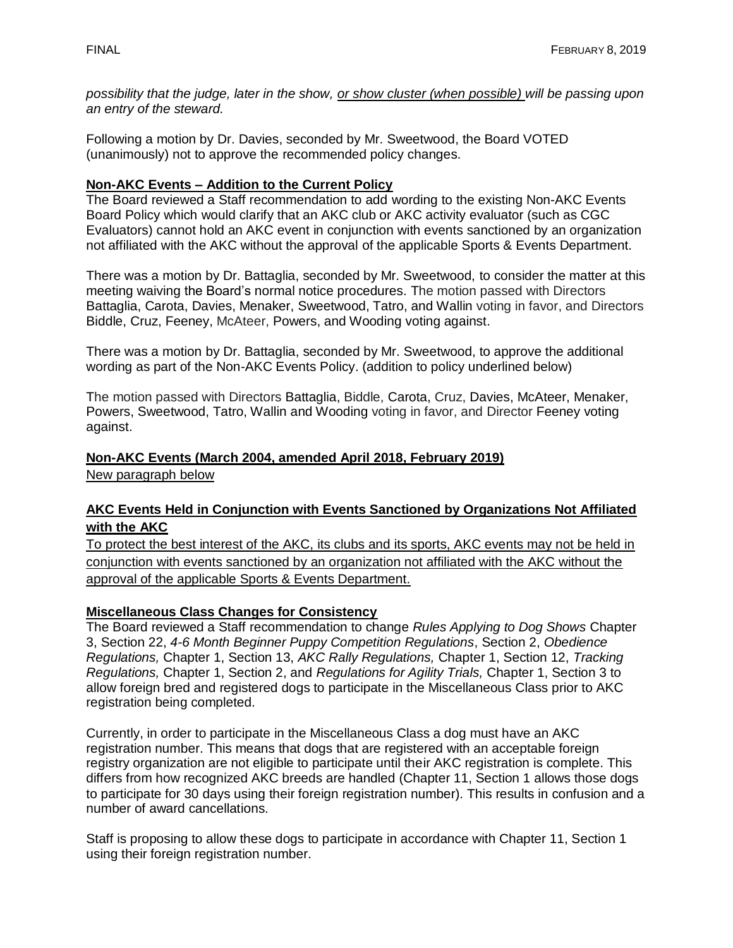*possibility that the judge, later in the show, or show cluster (when possible) will be passing upon an entry of the steward.*

Following a motion by Dr. Davies, seconded by Mr. Sweetwood, the Board VOTED (unanimously) not to approve the recommended policy changes.

#### **Non-AKC Events – Addition to the Current Policy**

The Board reviewed a Staff recommendation to add wording to the existing Non-AKC Events Board Policy which would clarify that an AKC club or AKC activity evaluator (such as CGC Evaluators) cannot hold an AKC event in conjunction with events sanctioned by an organization not affiliated with the AKC without the approval of the applicable Sports & Events Department.

There was a motion by Dr. Battaglia, seconded by Mr. Sweetwood, to consider the matter at this meeting waiving the Board's normal notice procedures. The motion passed with Directors Battaglia, Carota, Davies, Menaker, Sweetwood, Tatro, and Wallin voting in favor, and Directors Biddle, Cruz, Feeney, McAteer, Powers, and Wooding voting against.

There was a motion by Dr. Battaglia, seconded by Mr. Sweetwood, to approve the additional wording as part of the Non-AKC Events Policy. (addition to policy underlined below)

The motion passed with Directors Battaglia, Biddle, Carota, Cruz, Davies, McAteer, Menaker, Powers, Sweetwood, Tatro, Wallin and Wooding voting in favor, and Director Feeney voting against.

#### **Non-AKC Events (March 2004, amended April 2018, February 2019)**

New paragraph below

#### **AKC Events Held in Conjunction with Events Sanctioned by Organizations Not Affiliated with the AKC**

To protect the best interest of the AKC, its clubs and its sports, AKC events may not be held in conjunction with events sanctioned by an organization not affiliated with the AKC without the approval of the applicable Sports & Events Department.

#### **Miscellaneous Class Changes for Consistency**

The Board reviewed a Staff recommendation to change *Rules Applying to Dog Shows* Chapter 3, Section 22, *4-6 Month Beginner Puppy Competition Regulations*, Section 2, *Obedience Regulations,* Chapter 1, Section 13, *AKC Rally Regulations,* Chapter 1, Section 12, *Tracking Regulations,* Chapter 1, Section 2, and *Regulations for Agility Trials,* Chapter 1, Section 3 to allow foreign bred and registered dogs to participate in the Miscellaneous Class prior to AKC registration being completed.

Currently, in order to participate in the Miscellaneous Class a dog must have an AKC registration number. This means that dogs that are registered with an acceptable foreign registry organization are not eligible to participate until their AKC registration is complete. This differs from how recognized AKC breeds are handled (Chapter 11, Section 1 allows those dogs to participate for 30 days using their foreign registration number). This results in confusion and a number of award cancellations.

Staff is proposing to allow these dogs to participate in accordance with Chapter 11, Section 1 using their foreign registration number.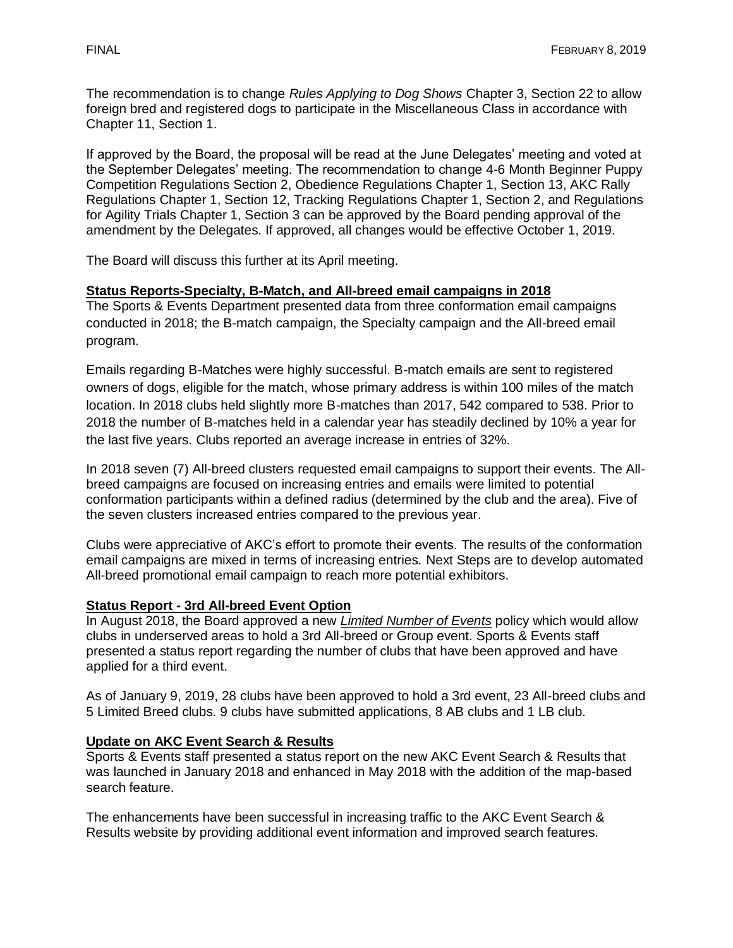The recommendation is to change *Rules Applying to Dog Shows* Chapter 3, Section 22 to allow foreign bred and registered dogs to participate in the Miscellaneous Class in accordance with Chapter 11, Section 1.

If approved by the Board, the proposal will be read at the June Delegates' meeting and voted at the September Delegates' meeting. The recommendation to change 4-6 Month Beginner Puppy Competition Regulations Section 2, Obedience Regulations Chapter 1, Section 13, AKC Rally Regulations Chapter 1, Section 12, Tracking Regulations Chapter 1, Section 2, and Regulations for Agility Trials Chapter 1, Section 3 can be approved by the Board pending approval of the amendment by the Delegates. If approved, all changes would be effective October 1, 2019.

The Board will discuss this further at its April meeting.

## **Status Reports-Specialty, B-Match, and All-breed email campaigns in 2018**

The Sports & Events Department presented data from three conformation email campaigns conducted in 2018; the B-match campaign, the Specialty campaign and the All-breed email program.

Emails regarding B-Matches were highly successful. B-match emails are sent to registered owners of dogs, eligible for the match, whose primary address is within 100 miles of the match location. In 2018 clubs held slightly more B-matches than 2017, 542 compared to 538. Prior to 2018 the number of B-matches held in a calendar year has steadily declined by 10% a year for the last five years. Clubs reported an average increase in entries of 32%.

In 2018 seven (7) All-breed clusters requested email campaigns to support their events. The Allbreed campaigns are focused on increasing entries and emails were limited to potential conformation participants within a defined radius (determined by the club and the area). Five of the seven clusters increased entries compared to the previous year.

Clubs were appreciative of AKC's effort to promote their events. The results of the conformation email campaigns are mixed in terms of increasing entries. Next Steps are to develop automated All-breed promotional email campaign to reach more potential exhibitors.

#### **Status Report - 3rd All-breed Event Option**

In August 2018, the Board approved a new *Limited Number of Events* policy which would allow clubs in underserved areas to hold a 3rd All-breed or Group event. Sports & Events staff presented a status report regarding the number of clubs that have been approved and have applied for a third event.

As of January 9, 2019, 28 clubs have been approved to hold a 3rd event, 23 All-breed clubs and 5 Limited Breed clubs. 9 clubs have submitted applications, 8 AB clubs and 1 LB club.

#### **Update on AKC Event Search & Results**

Sports & Events staff presented a status report on the new AKC Event Search & Results that was launched in January 2018 and enhanced in May 2018 with the addition of the map-based search feature.

The enhancements have been successful in increasing traffic to the AKC Event Search & Results website by providing additional event information and improved search features.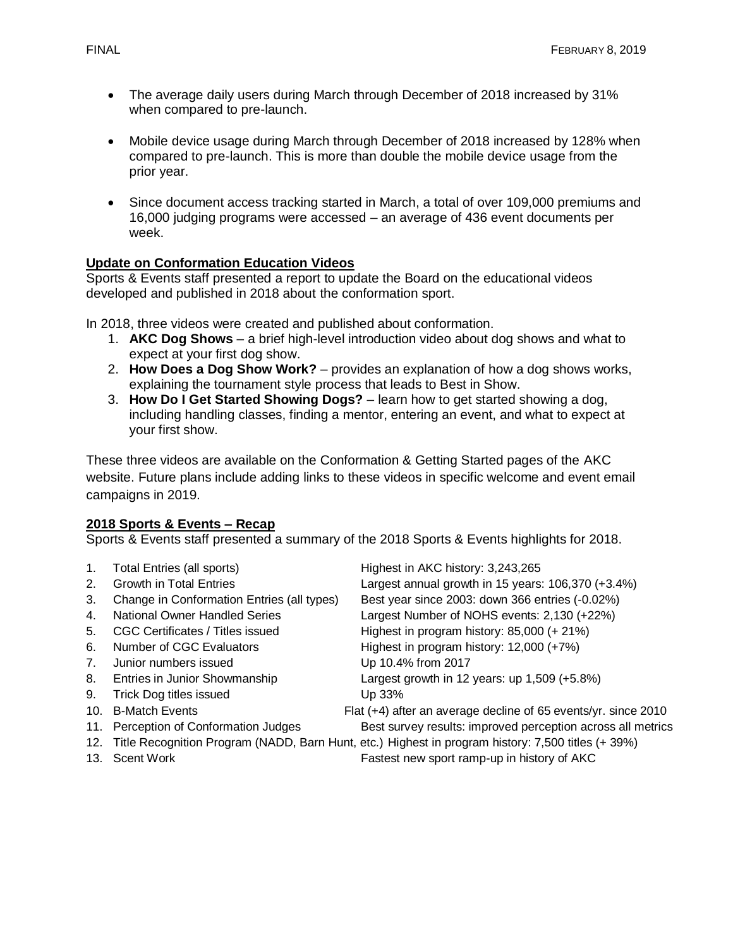- The average daily users during March through December of 2018 increased by 31% when compared to pre-launch.
- Mobile device usage during March through December of 2018 increased by 128% when compared to pre-launch. This is more than double the mobile device usage from the prior year.
- Since document access tracking started in March, a total of over 109,000 premiums and 16,000 judging programs were accessed – an average of 436 event documents per week.

## **Update on Conformation Education Videos**

Sports & Events staff presented a report to update the Board on the educational videos developed and published in 2018 about the conformation sport.

In 2018, three videos were created and published about conformation.

- 1. **AKC Dog Shows** a brief high-level introduction video about dog shows and what to expect at your first dog show.
- 2. **How Does a Dog Show Work?** provides an explanation of how a dog shows works, explaining the tournament style process that leads to Best in Show.
- 3. **How Do I Get Started Showing Dogs?** learn how to get started showing a dog, including handling classes, finding a mentor, entering an event, and what to expect at your first show.

These three videos are available on the Conformation & Getting Started pages of the AKC website. Future plans include adding links to these videos in specific welcome and event email campaigns in 2019.

#### **2018 Sports & Events – Recap**

Sports & Events staff presented a summary of the 2018 Sports & Events highlights for 2018.

| 1.             | <b>Total Entries (all sports)</b>          | Highest in AKC history: 3,243,265                                                                      |
|----------------|--------------------------------------------|--------------------------------------------------------------------------------------------------------|
| 2.             | <b>Growth in Total Entries</b>             | Largest annual growth in 15 years: 106,370 (+3.4%)                                                     |
| 3.             | Change in Conformation Entries (all types) | Best year since 2003: down 366 entries (-0.02%)                                                        |
| 4.             | National Owner Handled Series              | Largest Number of NOHS events: 2,130 (+22%)                                                            |
| 5.             | CGC Certificates / Titles issued           | Highest in program history: 85,000 (+ 21%)                                                             |
| 6.             | Number of CGC Evaluators                   | Highest in program history: $12,000 (+7%)$                                                             |
| 7 <sub>1</sub> | Junior numbers issued                      | Up 10.4% from 2017                                                                                     |
| 8.             | Entries in Junior Showmanship              | Largest growth in 12 years: up $1,509$ (+5.8%)                                                         |
| 9.             | Trick Dog titles issued                    | Up 33%                                                                                                 |
| 10.            | <b>B-Match Events</b>                      | Flat (+4) after an average decline of 65 events/yr. since 2010                                         |
|                | 11. Perception of Conformation Judges      | Best survey results: improved perception across all metrics                                            |
|                |                                            | 12. Title Recognition Program (NADD, Barn Hunt, etc.) Highest in program history: 7,500 titles (+ 39%) |
|                | 13. Scent Work                             | Fastest new sport ramp-up in history of AKC                                                            |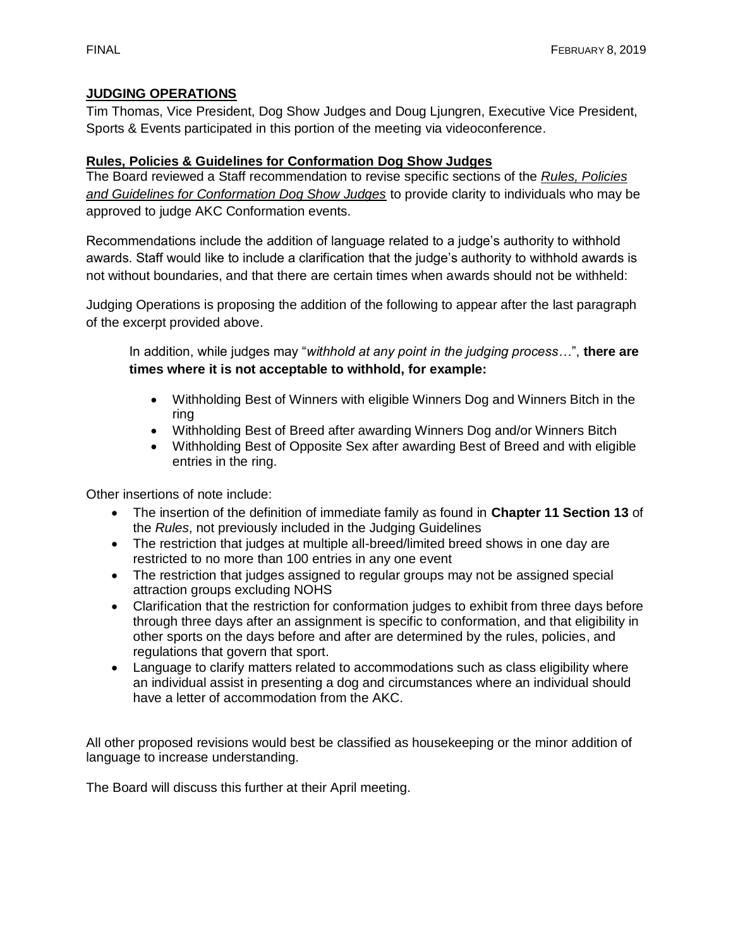## **JUDGING OPERATIONS**

Tim Thomas, Vice President, Dog Show Judges and Doug Ljungren, Executive Vice President, Sports & Events participated in this portion of the meeting via videoconference.

## **Rules, Policies & Guidelines for Conformation Dog Show Judges**

The Board reviewed a Staff recommendation to revise specific sections of the *Rules, Policies and Guidelines for Conformation Dog Show Judges* to provide clarity to individuals who may be approved to judge AKC Conformation events.

Recommendations include the addition of language related to a judge's authority to withhold awards. Staff would like to include a clarification that the judge's authority to withhold awards is not without boundaries, and that there are certain times when awards should not be withheld:

Judging Operations is proposing the addition of the following to appear after the last paragraph of the excerpt provided above.

In addition, while judges may "*withhold at any point in the judging process…*", **there are times where it is not acceptable to withhold, for example:**

- Withholding Best of Winners with eligible Winners Dog and Winners Bitch in the ring
- Withholding Best of Breed after awarding Winners Dog and/or Winners Bitch
- Withholding Best of Opposite Sex after awarding Best of Breed and with eligible entries in the ring.

Other insertions of note include:

- The insertion of the definition of immediate family as found in **Chapter 11 Section 13** of the *Rules*, not previously included in the Judging Guidelines
- The restriction that judges at multiple all-breed/limited breed shows in one day are restricted to no more than 100 entries in any one event
- The restriction that judges assigned to regular groups may not be assigned special attraction groups excluding NOHS
- Clarification that the restriction for conformation judges to exhibit from three days before through three days after an assignment is specific to conformation, and that eligibility in other sports on the days before and after are determined by the rules, policies, and regulations that govern that sport.
- Language to clarify matters related to accommodations such as class eligibility where an individual assist in presenting a dog and circumstances where an individual should have a letter of accommodation from the AKC.

All other proposed revisions would best be classified as housekeeping or the minor addition of language to increase understanding.

The Board will discuss this further at their April meeting.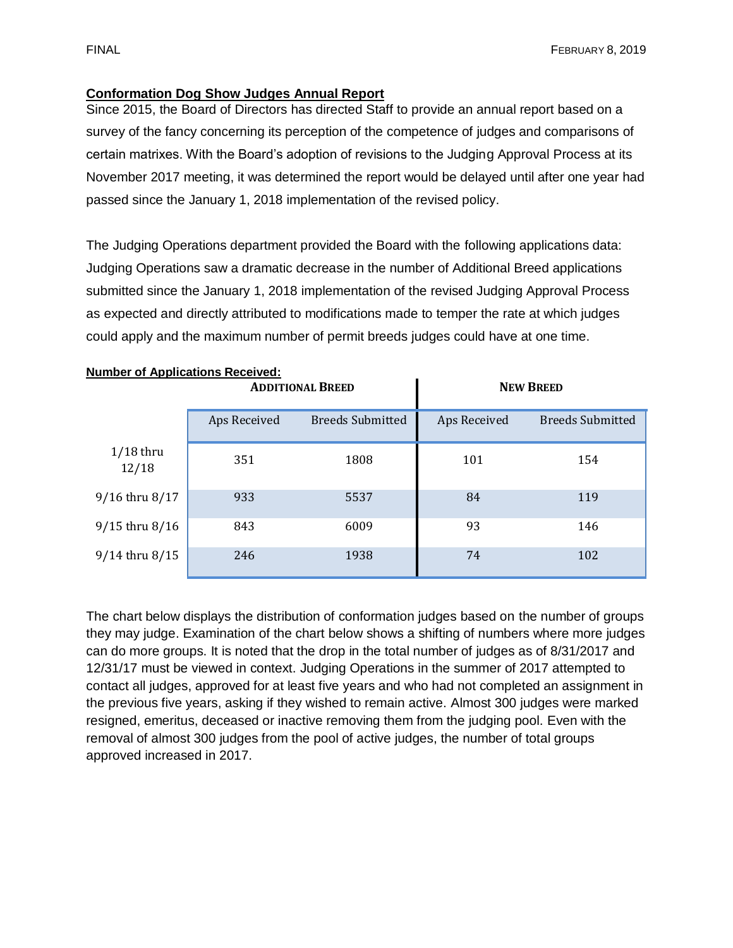## **Conformation Dog Show Judges Annual Report**

Since 2015, the Board of Directors has directed Staff to provide an annual report based on a survey of the fancy concerning its perception of the competence of judges and comparisons of certain matrixes. With the Board's adoption of revisions to the Judging Approval Process at its November 2017 meeting, it was determined the report would be delayed until after one year had passed since the January 1, 2018 implementation of the revised policy.

The Judging Operations department provided the Board with the following applications data: Judging Operations saw a dramatic decrease in the number of Additional Breed applications submitted since the January 1, 2018 implementation of the revised Judging Approval Process as expected and directly attributed to modifications made to temper the rate at which judges could apply and the maximum number of permit breeds judges could have at one time.

| <b>Number of Applications Received:</b> |              |                         |                  |                         |  |  |  |
|-----------------------------------------|--------------|-------------------------|------------------|-------------------------|--|--|--|
|                                         |              | <b>ADDITIONAL BREED</b> | <b>NEW BREED</b> |                         |  |  |  |
|                                         | Aps Received | <b>Breeds Submitted</b> | Aps Received     | <b>Breeds Submitted</b> |  |  |  |
| $1/18$ thru<br>12/18                    | 351          | 1808                    | 101              | 154                     |  |  |  |
| 9/16 thru 8/17                          | 933          | 5537                    | 84               | 119                     |  |  |  |
| $9/15$ thru $8/16$                      | 843          | 6009                    | 93               | 146                     |  |  |  |
| $9/14$ thru $8/15$                      | 246          | 1938                    | 74               | 102                     |  |  |  |

The chart below displays the distribution of conformation judges based on the number of groups they may judge. Examination of the chart below shows a shifting of numbers where more judges can do more groups. It is noted that the drop in the total number of judges as of 8/31/2017 and 12/31/17 must be viewed in context. Judging Operations in the summer of 2017 attempted to contact all judges, approved for at least five years and who had not completed an assignment in the previous five years, asking if they wished to remain active. Almost 300 judges were marked resigned, emeritus, deceased or inactive removing them from the judging pool. Even with the removal of almost 300 judges from the pool of active judges, the number of total groups approved increased in 2017.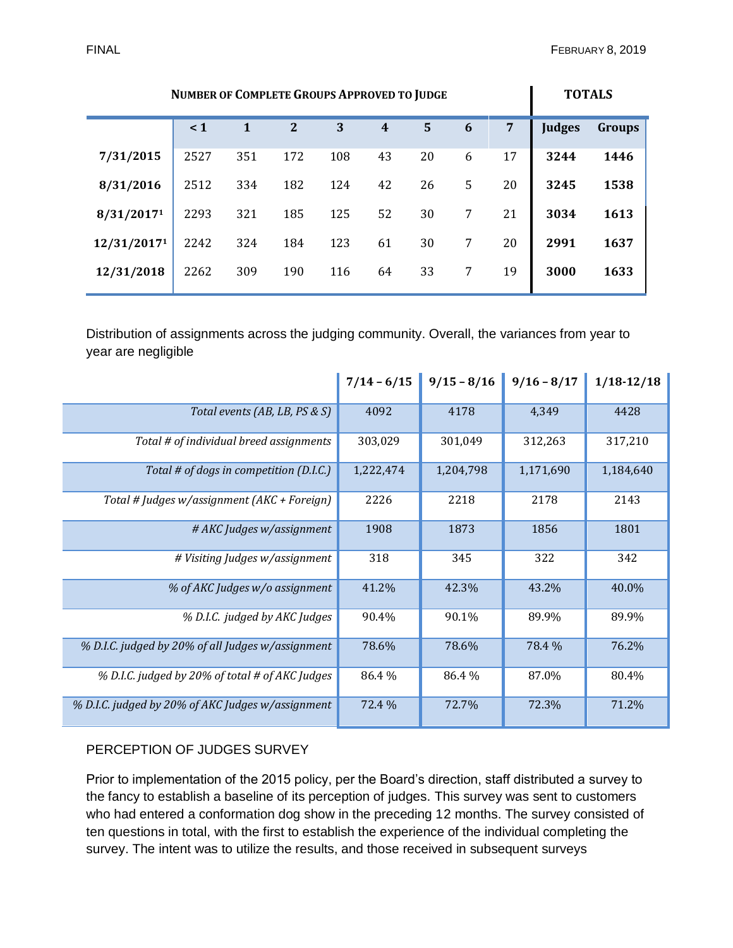| <b>NUMBER OF COMPLETE GROUPS APPROVED TO JUDGE</b> |          |              |                |     |                  | <b>TOTALS</b> |   |    |               |               |
|----------------------------------------------------|----------|--------------|----------------|-----|------------------|---------------|---|----|---------------|---------------|
|                                                    | $\leq 1$ | $\mathbf{1}$ | $\overline{2}$ | 3   | $\boldsymbol{4}$ | 5             | 6 | 7  | <b>Judges</b> | <b>Groups</b> |
| 7/31/2015                                          | 2527     | 351          | 172            | 108 | 43               | 20            | 6 | 17 | 3244          | 1446          |
| 8/31/2016                                          | 2512     | 334          | 182            | 124 | 42               | 26            | 5 | 20 | 3245          | 1538          |
| 8/31/20171                                         | 2293     | 321          | 185            | 125 | 52               | 30            | 7 | 21 | 3034          | 1613          |
| 12/31/20171                                        | 2242     | 324          | 184            | 123 | 61               | 30            | 7 | 20 | 2991          | 1637          |
| 12/31/2018                                         | 2262     | 309          | 190            | 116 | 64               | 33            | 7 | 19 | 3000          | 1633          |

Distribution of assignments across the judging community. Overall, the variances from year to year are negligible

|                                                   | $7/14 - 6/15$ | $9/15 - 8/16$ | $9/16 - 8/17$ | $1/18 - 12/18$ |
|---------------------------------------------------|---------------|---------------|---------------|----------------|
| Total events (AB, LB, PS & S)                     | 4092          | 4178          | 4,349         | 4428           |
| Total # of individual breed assignments           | 303,029       | 301,049       | 312,263       | 317,210        |
| Total # of dogs in competition (D.I.C.)           | 1,222,474     | 1,204,798     | 1,171,690     | 1,184,640      |
| Total # Judges w/assignment (AKC + Foreign)       | 2226          | 2218          | 2178          | 2143           |
| # AKC Judges w/assignment                         | 1908          | 1873          | 1856          | 1801           |
| # Visiting Judges w/assignment                    | 318           | 345           | 322           | 342            |
| % of AKC Judges w/o assignment                    | 41.2%         | 42.3%         | 43.2%         | 40.0%          |
| % D.I.C. judged by AKC Judges                     | 90.4%         | 90.1%         | 89.9%         | 89.9%          |
| % D.I.C. judged by 20% of all Judges w/assignment | 78.6%         | 78.6%         | 78.4 %        | 76.2%          |
| % D.I.C. judged by 20% of total # of AKC Judges   | 86.4%         | 86.4%         | 87.0%         | 80.4%          |
| % D.I.C. judged by 20% of AKC Judges w/assignment | 72.4 %        | 72.7%         | 72.3%         | 71.2%          |

#### PERCEPTION OF JUDGES SURVEY

Prior to implementation of the 2015 policy, per the Board's direction, staff distributed a survey to the fancy to establish a baseline of its perception of judges. This survey was sent to customers who had entered a conformation dog show in the preceding 12 months. The survey consisted of ten questions in total, with the first to establish the experience of the individual completing the survey. The intent was to utilize the results, and those received in subsequent surveys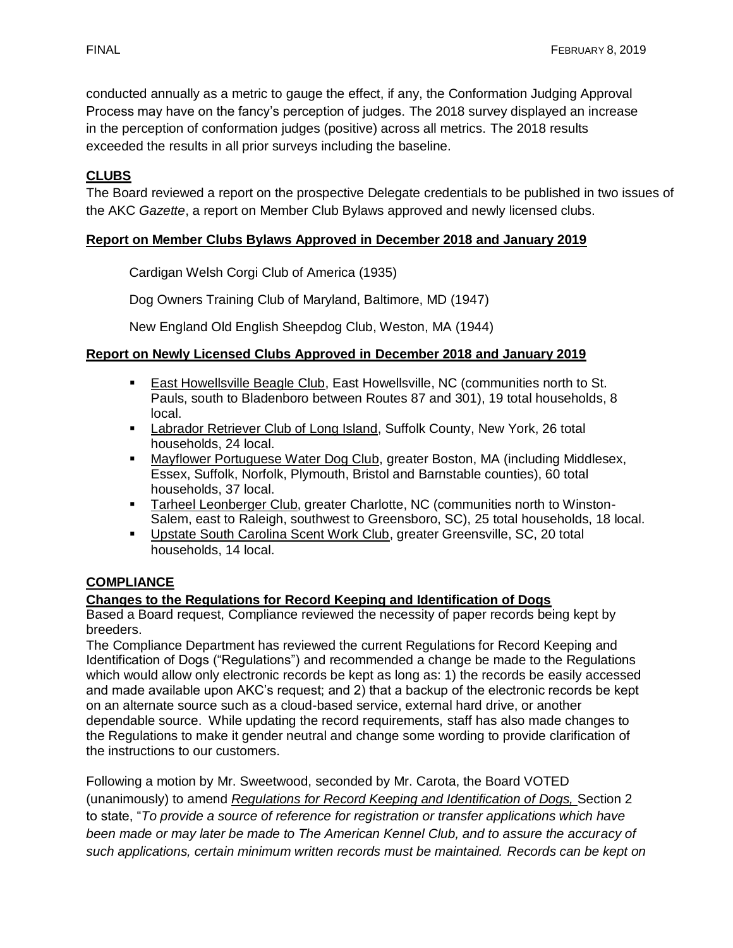conducted annually as a metric to gauge the effect, if any, the Conformation Judging Approval Process may have on the fancy's perception of judges. The 2018 survey displayed an increase in the perception of conformation judges (positive) across all metrics. The 2018 results exceeded the results in all prior surveys including the baseline.

# **CLUBS**

The Board reviewed a report on the prospective Delegate credentials to be published in two issues of the AKC *Gazette*, a report on Member Club Bylaws approved and newly licensed clubs.

## **Report on Member Clubs Bylaws Approved in December 2018 and January 2019**

Cardigan Welsh Corgi Club of America (1935)

Dog Owners Training Club of Maryland, Baltimore, MD (1947)

New England Old English Sheepdog Club, Weston, MA (1944)

#### **Report on Newly Licensed Clubs Approved in December 2018 and January 2019**

- East Howellsville Beagle Club, East Howellsville, NC (communities north to St. Pauls, south to Bladenboro between Routes 87 and 301), 19 total households, 8 local.
- **Labrador Retriever Club of Long Island, Suffolk County, New York, 26 total** households, 24 local.
- **Mayflower Portuguese Water Dog Club, greater Boston, MA (including Middlesex,** Essex, Suffolk, Norfolk, Plymouth, Bristol and Barnstable counties), 60 total households, 37 local.
- **EXECT** Tarheel Leonberger Club, greater Charlotte, NC (communities north to Winston-Salem, east to Raleigh, southwest to Greensboro, SC), 25 total households, 18 local.
- Upstate South Carolina Scent Work Club, greater Greensville, SC, 20 total households, 14 local.

# **COMPLIANCE**

#### **Changes to the Regulations for Record Keeping and Identification of Dogs**

Based a Board request, Compliance reviewed the necessity of paper records being kept by breeders.

The Compliance Department has reviewed the current Regulations for Record Keeping and Identification of Dogs ("Regulations") and recommended a change be made to the Regulations which would allow only electronic records be kept as long as: 1) the records be easily accessed and made available upon AKC's request; and 2) that a backup of the electronic records be kept on an alternate source such as a cloud-based service, external hard drive, or another dependable source. While updating the record requirements, staff has also made changes to the Regulations to make it gender neutral and change some wording to provide clarification of the instructions to our customers.

Following a motion by Mr. Sweetwood, seconded by Mr. Carota, the Board VOTED (unanimously) to amend *Regulations for Record Keeping and Identification of Dogs,* Section 2 to state, "*To provide a source of reference for registration or transfer applications which have been made or may later be made to The American Kennel Club, and to assure the accuracy of such applications, certain minimum written records must be maintained. Records can be kept on*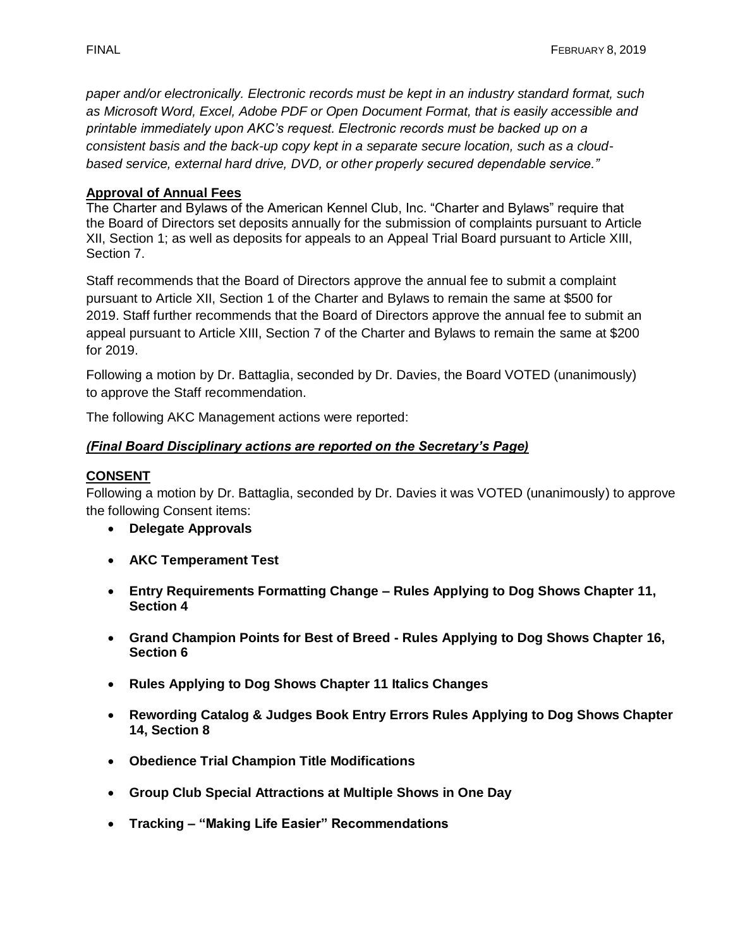*paper and/or electronically. Electronic records must be kept in an industry standard format, such as Microsoft Word, Excel, Adobe PDF or Open Document Format, that is easily accessible and printable immediately upon AKC's request. Electronic records must be backed up on a consistent basis and the back-up copy kept in a separate secure location, such as a cloudbased service, external hard drive, DVD, or other properly secured dependable service."* 

#### **Approval of Annual Fees**

The Charter and Bylaws of the American Kennel Club, Inc. "Charter and Bylaws" require that the Board of Directors set deposits annually for the submission of complaints pursuant to Article XII, Section 1; as well as deposits for appeals to an Appeal Trial Board pursuant to Article XIII, Section 7.

Staff recommends that the Board of Directors approve the annual fee to submit a complaint pursuant to Article XII, Section 1 of the Charter and Bylaws to remain the same at \$500 for 2019. Staff further recommends that the Board of Directors approve the annual fee to submit an appeal pursuant to Article XIII, Section 7 of the Charter and Bylaws to remain the same at \$200 for 2019.

Following a motion by Dr. Battaglia, seconded by Dr. Davies, the Board VOTED (unanimously) to approve the Staff recommendation.

The following AKC Management actions were reported:

#### *(Final Board Disciplinary actions are reported on the Secretary's Page)*

#### **CONSENT**

Following a motion by Dr. Battaglia, seconded by Dr. Davies it was VOTED (unanimously) to approve the following Consent items:

- **Delegate Approvals**
- **AKC Temperament Test**
- **Entry Requirements Formatting Change – Rules Applying to Dog Shows Chapter 11, Section 4**
- **Grand Champion Points for Best of Breed - Rules Applying to Dog Shows Chapter 16, Section 6**
- **Rules Applying to Dog Shows Chapter 11 Italics Changes**
- **Rewording Catalog & Judges Book Entry Errors Rules Applying to Dog Shows Chapter 14, Section 8**
- **Obedience Trial Champion Title Modifications**
- **Group Club Special Attractions at Multiple Shows in One Day**
- **Tracking – "Making Life Easier" Recommendations**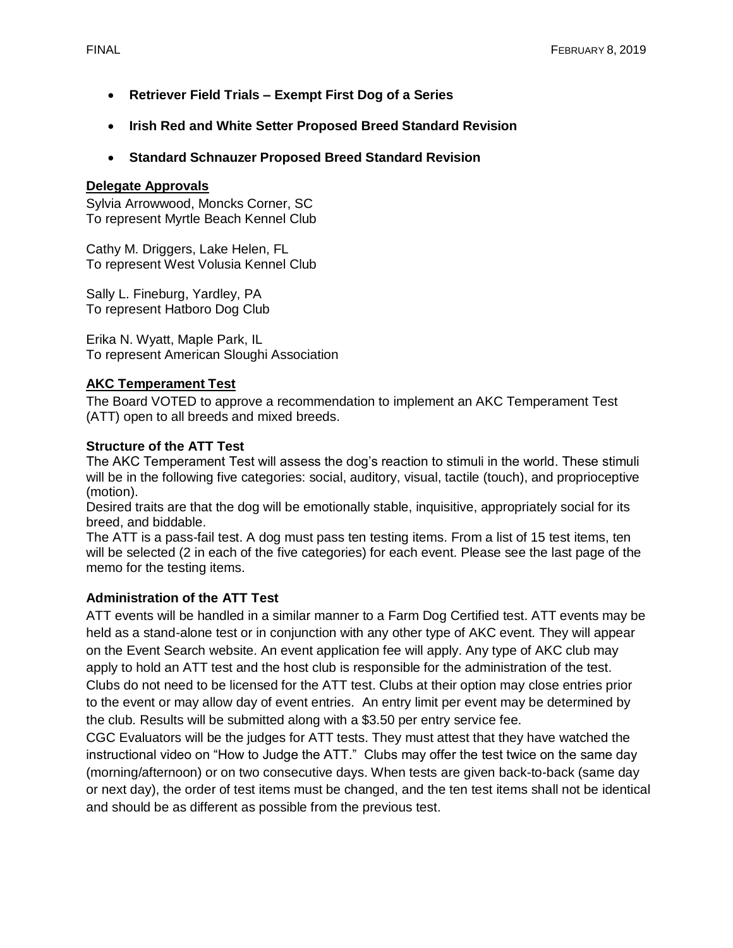- **Retriever Field Trials – Exempt First Dog of a Series**
- **Irish Red and White Setter Proposed Breed Standard Revision**
- **Standard Schnauzer Proposed Breed Standard Revision**

#### **Delegate Approvals**

Sylvia Arrowwood, Moncks Corner, SC To represent Myrtle Beach Kennel Club

Cathy M. Driggers, Lake Helen, FL To represent West Volusia Kennel Club

Sally L. Fineburg, Yardley, PA To represent Hatboro Dog Club

Erika N. Wyatt, Maple Park, IL To represent American Sloughi Association

## **AKC Temperament Test**

The Board VOTED to approve a recommendation to implement an AKC Temperament Test (ATT) open to all breeds and mixed breeds.

#### **Structure of the ATT Test**

The AKC Temperament Test will assess the dog's reaction to stimuli in the world. These stimuli will be in the following five categories: social, auditory, visual, tactile (touch), and proprioceptive (motion).

Desired traits are that the dog will be emotionally stable, inquisitive, appropriately social for its breed, and biddable.

The ATT is a pass-fail test. A dog must pass ten testing items. From a list of 15 test items, ten will be selected (2 in each of the five categories) for each event. Please see the last page of the memo for the testing items.

#### **Administration of the ATT Test**

ATT events will be handled in a similar manner to a Farm Dog Certified test. ATT events may be held as a stand-alone test or in conjunction with any other type of AKC event. They will appear on the Event Search website. An event application fee will apply. Any type of AKC club may apply to hold an ATT test and the host club is responsible for the administration of the test. Clubs do not need to be licensed for the ATT test. Clubs at their option may close entries prior to the event or may allow day of event entries. An entry limit per event may be determined by the club. Results will be submitted along with a \$3.50 per entry service fee.

CGC Evaluators will be the judges for ATT tests. They must attest that they have watched the instructional video on "How to Judge the ATT." Clubs may offer the test twice on the same day (morning/afternoon) or on two consecutive days. When tests are given back-to-back (same day or next day), the order of test items must be changed, and the ten test items shall not be identical and should be as different as possible from the previous test.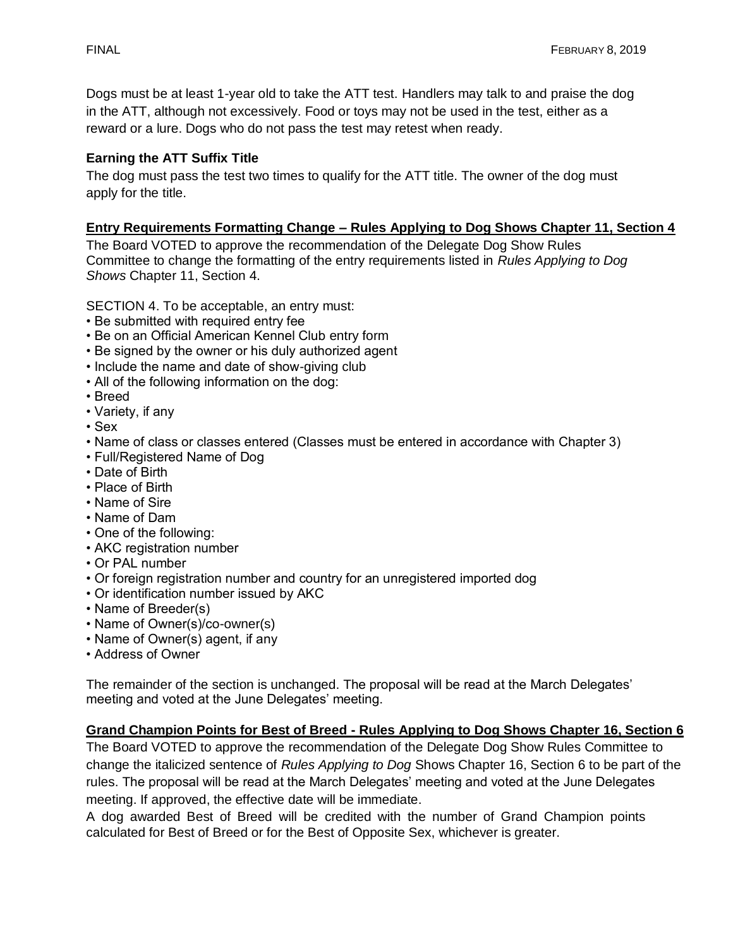Dogs must be at least 1-year old to take the ATT test. Handlers may talk to and praise the dog in the ATT, although not excessively. Food or toys may not be used in the test, either as a reward or a lure. Dogs who do not pass the test may retest when ready.

# **Earning the ATT Suffix Title**

The dog must pass the test two times to qualify for the ATT title. The owner of the dog must apply for the title.

## **Entry Requirements Formatting Change – Rules Applying to Dog Shows Chapter 11, Section 4**

The Board VOTED to approve the recommendation of the Delegate Dog Show Rules Committee to change the formatting of the entry requirements listed in *Rules Applying to Dog Shows* Chapter 11, Section 4.

SECTION 4. To be acceptable, an entry must:

- Be submitted with required entry fee
- Be on an Official American Kennel Club entry form
- Be signed by the owner or his duly authorized agent
- Include the name and date of show-giving club
- All of the following information on the dog:
- Breed
- Variety, if any
- Sex
- Name of class or classes entered (Classes must be entered in accordance with Chapter 3)
- Full/Registered Name of Dog
- Date of Birth
- Place of Birth
- Name of Sire
- Name of Dam
- One of the following:
- AKC registration number
- Or PAL number
- Or foreign registration number and country for an unregistered imported dog
- Or identification number issued by AKC
- Name of Breeder(s)
- Name of Owner(s)/co-owner(s)
- Name of Owner(s) agent, if any
- Address of Owner

The remainder of the section is unchanged. The proposal will be read at the March Delegates' meeting and voted at the June Delegates' meeting.

# **Grand Champion Points for Best of Breed - Rules Applying to Dog Shows Chapter 16, Section 6**

The Board VOTED to approve the recommendation of the Delegate Dog Show Rules Committee to change the italicized sentence of *Rules Applying to Dog* Shows Chapter 16, Section 6 to be part of the rules. The proposal will be read at the March Delegates' meeting and voted at the June Delegates meeting. If approved, the effective date will be immediate.

A dog awarded Best of Breed will be credited with the number of Grand Champion points calculated for Best of Breed or for the Best of Opposite Sex, whichever is greater.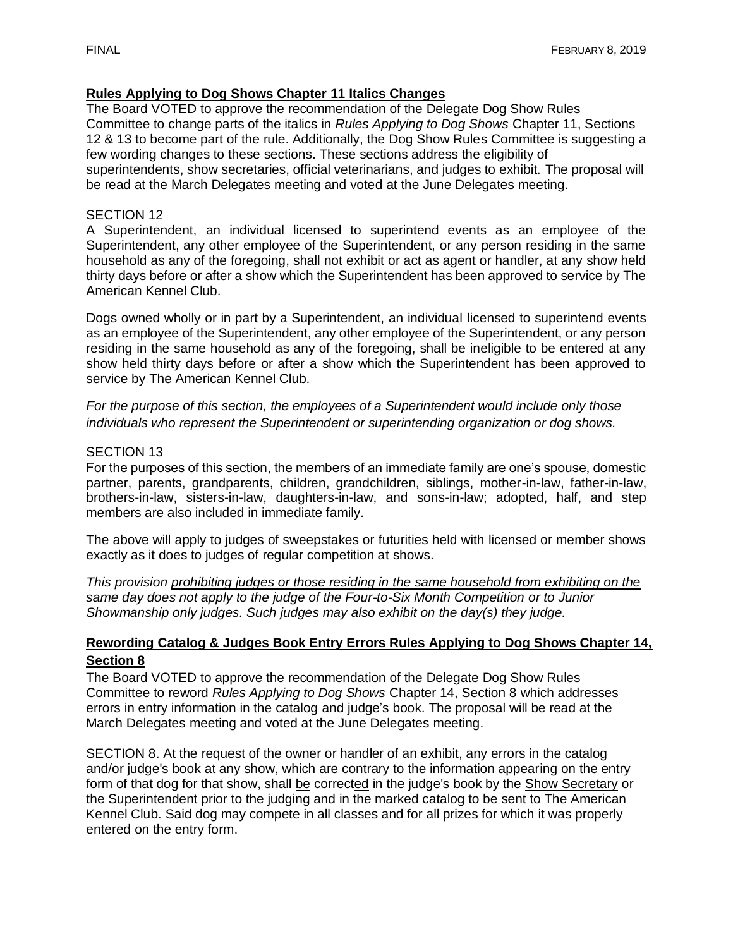# **Rules Applying to Dog Shows Chapter 11 Italics Changes**

The Board VOTED to approve the recommendation of the Delegate Dog Show Rules Committee to change parts of the italics in *Rules Applying to Dog Shows* Chapter 11, Sections 12 & 13 to become part of the rule. Additionally, the Dog Show Rules Committee is suggesting a few wording changes to these sections. These sections address the eligibility of superintendents, show secretaries, official veterinarians, and judges to exhibit. The proposal will

be read at the March Delegates meeting and voted at the June Delegates meeting.

#### SECTION 12

A Superintendent, an individual licensed to superintend events as an employee of the Superintendent, any other employee of the Superintendent, or any person residing in the same household as any of the foregoing, shall not exhibit or act as agent or handler, at any show held thirty days before or after a show which the Superintendent has been approved to service by The American Kennel Club.

Dogs owned wholly or in part by a Superintendent, an individual licensed to superintend events as an employee of the Superintendent, any other employee of the Superintendent, or any person residing in the same household as any of the foregoing, shall be ineligible to be entered at any show held thirty days before or after a show which the Superintendent has been approved to service by The American Kennel Club.

*For the purpose of this section, the employees of a Superintendent would include only those individuals who represent the Superintendent or superintending organization or dog shows.*

#### SECTION 13

For the purposes of this section, the members of an immediate family are one's spouse, domestic partner, parents, grandparents, children, grandchildren, siblings, mother-in-law, father-in-law, brothers-in-law, sisters-in-law, daughters-in-law, and sons-in-law; adopted, half, and step members are also included in immediate family.

The above will apply to judges of sweepstakes or futurities held with licensed or member shows exactly as it does to judges of regular competition at shows.

*This provision prohibiting judges or those residing in the same household from exhibiting on the same day does not apply to the judge of the Four-to-Six Month Competition or to Junior Showmanship only judges. Such judges may also exhibit on the day(s) they judge.*

#### **Rewording Catalog & Judges Book Entry Errors Rules Applying to Dog Shows Chapter 14, Section 8**

The Board VOTED to approve the recommendation of the Delegate Dog Show Rules Committee to reword *Rules Applying to Dog Shows* Chapter 14, Section 8 which addresses errors in entry information in the catalog and judge's book. The proposal will be read at the March Delegates meeting and voted at the June Delegates meeting.

SECTION 8. At the request of the owner or handler of an exhibit, any errors in the catalog and/or judge's book at any show, which are contrary to the information appearing on the entry form of that dog for that show, shall be corrected in the judge's book by the Show Secretary or the Superintendent prior to the judging and in the marked catalog to be sent to The American Kennel Club. Said dog may compete in all classes and for all prizes for which it was properly entered on the entry form.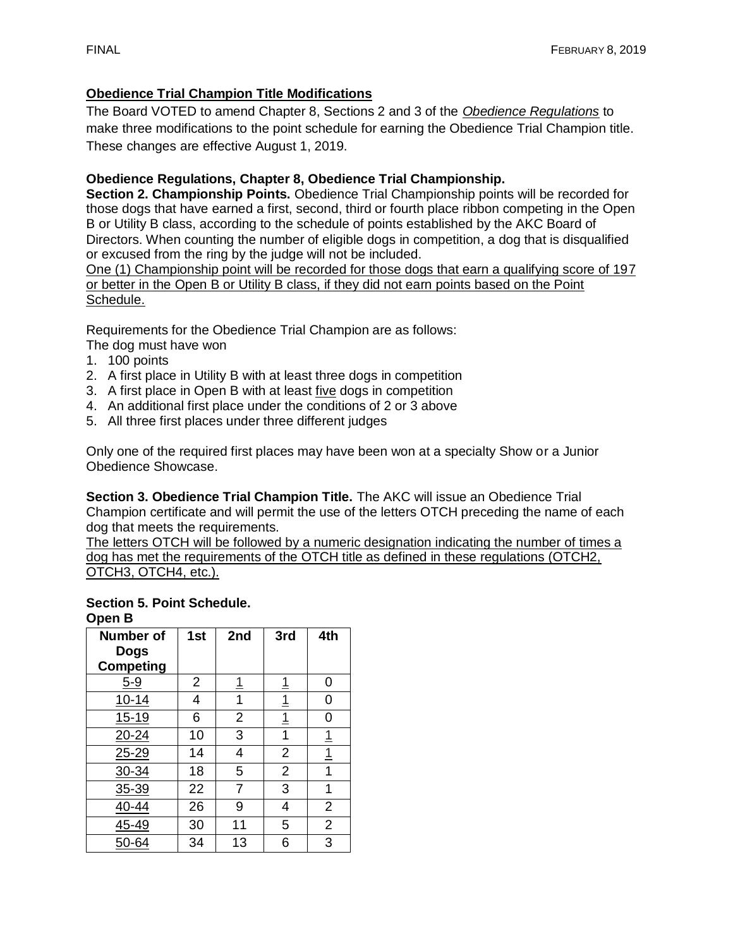# **Obedience Trial Champion Title Modifications**

The Board VOTED to amend Chapter 8, Sections 2 and 3 of the *Obedience Regulations* to make three modifications to the point schedule for earning the Obedience Trial Champion title. These changes are effective August 1, 2019.

# **Obedience Regulations, Chapter 8, Obedience Trial Championship.**

**Section 2. Championship Points.** Obedience Trial Championship points will be recorded for those dogs that have earned a first, second, third or fourth place ribbon competing in the Open B or Utility B class, according to the schedule of points established by the AKC Board of Directors. When counting the number of eligible dogs in competition, a dog that is disqualified or excused from the ring by the judge will not be included.

One (1) Championship point will be recorded for those dogs that earn a qualifying score of 197 or better in the Open B or Utility B class, if they did not earn points based on the Point Schedule.

Requirements for the Obedience Trial Champion are as follows: The dog must have won

- 1. 100 points
- 2. A first place in Utility B with at least three dogs in competition
- 3. A first place in Open B with at least five dogs in competition
- 4. An additional first place under the conditions of 2 or 3 above
- 5. All three first places under three different judges

Only one of the required first places may have been won at a specialty Show or a Junior Obedience Showcase.

**Section 3. Obedience Trial Champion Title.** The AKC will issue an Obedience Trial Champion certificate and will permit the use of the letters OTCH preceding the name of each dog that meets the requirements.

The letters OTCH will be followed by a numeric designation indicating the number of times a dog has met the requirements of the OTCH title as defined in these regulations (OTCH2, OTCH3, OTCH4, etc.).

#### **Section 5. Point Schedule. Open B**

| Number of<br><b>Dogs</b><br><b>Competing</b> | 1st            | 2nd            | 3rd                     | 4th            |
|----------------------------------------------|----------------|----------------|-------------------------|----------------|
| $5-9$                                        | $\overline{2}$ | <u>1</u>       | $\overline{1}$          | 0              |
| $10 - 14$                                    | 4              | 1              | $\overline{1}$          | 0              |
| 15-19                                        | 6              | $\overline{2}$ | $\overline{1}$          | 0              |
| $20 - 24$                                    | 10             | 3              | 1                       | $\overline{1}$ |
| $25 - 29$                                    | 14             | 4              | $\overline{2}$          | $\overline{1}$ |
| 30-34                                        | 18             | 5              | $\overline{2}$          | $\overline{1}$ |
| 35-39                                        | 22             | $\overline{7}$ | 3                       | 1              |
| $40 - 44$                                    | 26             | 9              | $\overline{\mathbf{4}}$ | $\overline{2}$ |
| 45-49                                        | 30             | 11             | 5                       | $\overline{2}$ |
| 50-64                                        | 34             | 13             | 6                       | $\overline{3}$ |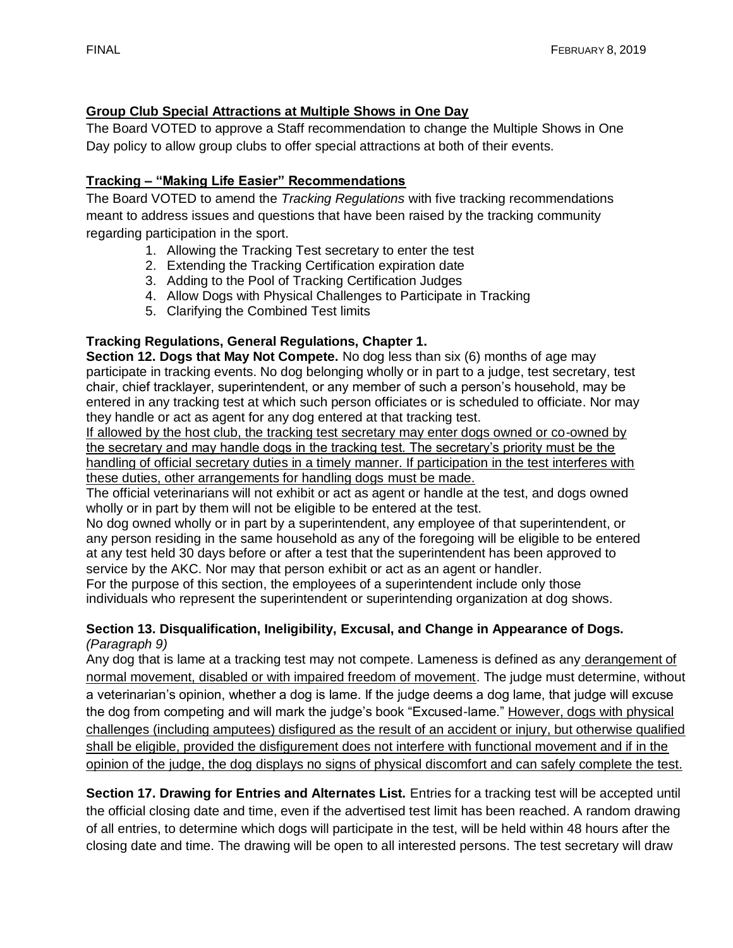# **Group Club Special Attractions at Multiple Shows in One Day**

The Board VOTED to approve a Staff recommendation to change the Multiple Shows in One Day policy to allow group clubs to offer special attractions at both of their events.

# **Tracking – "Making Life Easier" Recommendations**

The Board VOTED to amend the *Tracking Regulations* with five tracking recommendations meant to address issues and questions that have been raised by the tracking community regarding participation in the sport.

- 1. Allowing the Tracking Test secretary to enter the test
- 2. Extending the Tracking Certification expiration date
- 3. Adding to the Pool of Tracking Certification Judges
- 4. Allow Dogs with Physical Challenges to Participate in Tracking
- 5. Clarifying the Combined Test limits

## **Tracking Regulations, General Regulations, Chapter 1.**

**Section 12. Dogs that May Not Compete.** No dog less than six (6) months of age may participate in tracking events. No dog belonging wholly or in part to a judge, test secretary, test chair, chief tracklayer, superintendent, or any member of such a person's household, may be entered in any tracking test at which such person officiates or is scheduled to officiate. Nor may they handle or act as agent for any dog entered at that tracking test.

If allowed by the host club, the tracking test secretary may enter dogs owned or co-owned by the secretary and may handle dogs in the tracking test. The secretary's priority must be the handling of official secretary duties in a timely manner. If participation in the test interferes with these duties, other arrangements for handling dogs must be made.

The official veterinarians will not exhibit or act as agent or handle at the test, and dogs owned wholly or in part by them will not be eligible to be entered at the test.

No dog owned wholly or in part by a superintendent, any employee of that superintendent, or any person residing in the same household as any of the foregoing will be eligible to be entered at any test held 30 days before or after a test that the superintendent has been approved to service by the AKC. Nor may that person exhibit or act as an agent or handler.

For the purpose of this section, the employees of a superintendent include only those individuals who represent the superintendent or superintending organization at dog shows.

#### **Section 13. Disqualification, Ineligibility, Excusal, and Change in Appearance of Dogs.** *(Paragraph 9)*

Any dog that is lame at a tracking test may not compete. Lameness is defined as any derangement of normal movement, disabled or with impaired freedom of movement. The judge must determine, without a veterinarian's opinion, whether a dog is lame. If the judge deems a dog lame, that judge will excuse the dog from competing and will mark the judge's book "Excused-lame." However, dogs with physical challenges (including amputees) disfigured as the result of an accident or injury, but otherwise qualified shall be eligible, provided the disfigurement does not interfere with functional movement and if in the opinion of the judge, the dog displays no signs of physical discomfort and can safely complete the test.

**Section 17. Drawing for Entries and Alternates List.** Entries for a tracking test will be accepted until the official closing date and time, even if the advertised test limit has been reached. A random drawing of all entries, to determine which dogs will participate in the test, will be held within 48 hours after the closing date and time. The drawing will be open to all interested persons. The test secretary will draw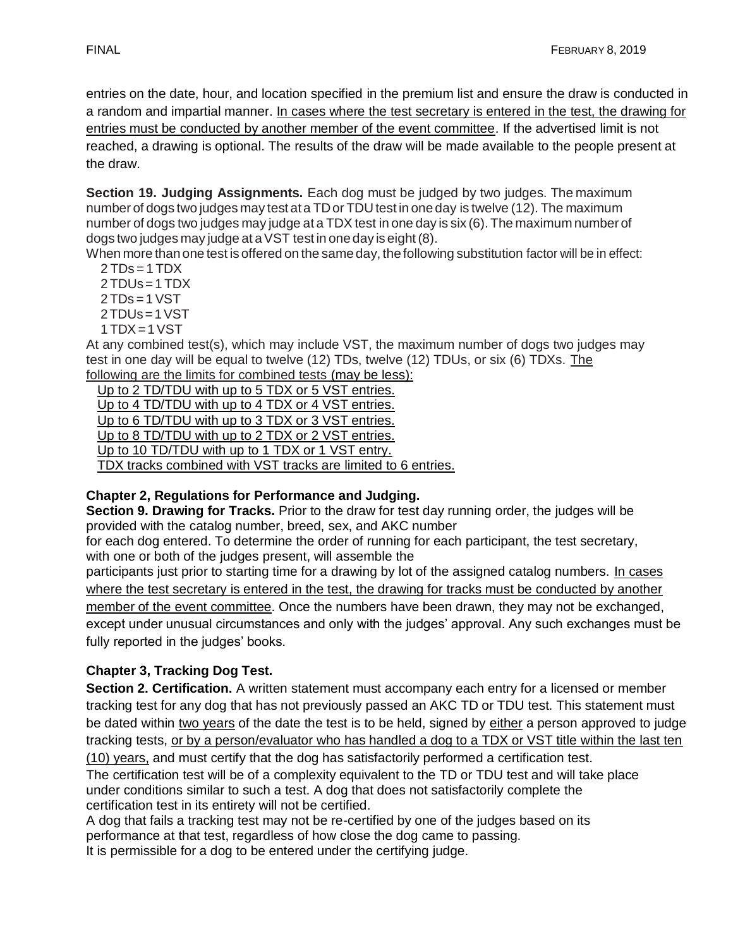entries on the date, hour, and location specified in the premium list and ensure the draw is conducted in a random and impartial manner. In cases where the test secretary is entered in the test, the drawing for entries must be conducted by another member of the event committee. If the advertised limit is not reached, a drawing is optional. The results of the draw will be made available to the people present at the draw.

**Section 19. Judging Assignments.** Each dog must be judged by two judges. The maximum number of dogs two judges may test ata TDor TDU test in one day is twelve (12). The maximum number of dogs two judges may judge at a TDX test in one day is six (6). The maximum number of dogs two judges may judge at aVST test in one day is eight(8).

When more than one test is offered on the same day, the following substitution factor will be in effect:  $2 TDs = 1 TDX$ 

- 2 TDUs=1 TDX
- $2 TDs = 1 VST$
- 2TDUs=1VST
- $1 TDX = 1 VST$

At any combined test(s), which may include VST, the maximum number of dogs two judges may test in one day will be equal to twelve (12) TDs, twelve (12) TDUs, or six (6) TDXs. The following are the limits for combined tests (may be less):

 Up to 2 TD/TDU with up to 5 TDX or 5 VST entries. Up to 4 TD/TDU with up to 4 TDX or 4 VST entries. Up to 6 TD/TDU with up to 3 TDX or 3 VST entries. Up to 8 TD/TDU with up to 2 TDX or 2 VST entries. Up to 10 TD/TDU with up to 1 TDX or 1 VST entry. TDX tracks combined with VST tracks are limited to 6 entries.

# **Chapter 2, Regulations for Performance and Judging.**

**Section 9. Drawing for Tracks.** Prior to the draw for test day running order, the judges will be provided with the catalog number, breed, sex, and AKC number

for each dog entered. To determine the order of running for each participant, the test secretary, with one or both of the judges present, will assemble the

participants just prior to starting time for a drawing by lot of the assigned catalog numbers. In cases where the test secretary is entered in the test, the drawing for tracks must be conducted by another member of the event committee. Once the numbers have been drawn, they may not be exchanged, except under unusual circumstances and only with the judges' approval. Any such exchanges must be fully reported in the judges' books.

# **Chapter 3, Tracking Dog Test.**

**Section 2. Certification.** A written statement must accompany each entry for a licensed or member tracking test for any dog that has not previously passed an AKC TD or TDU test. This statement must be dated within two years of the date the test is to be held, signed by either a person approved to judge tracking tests, or by a person/evaluator who has handled a dog to a TDX or VST title within the last ten (10) years, and must certify that the dog has satisfactorily performed a certification test.

The certification test will be of a complexity equivalent to the TD or TDU test and will take place under conditions similar to such a test. A dog that does not satisfactorily complete the certification test in its entirety will not be certified.

A dog that fails a tracking test may not be re-certified by one of the judges based on its performance at that test, regardless of how close the dog came to passing.

It is permissible for a dog to be entered under the certifying judge.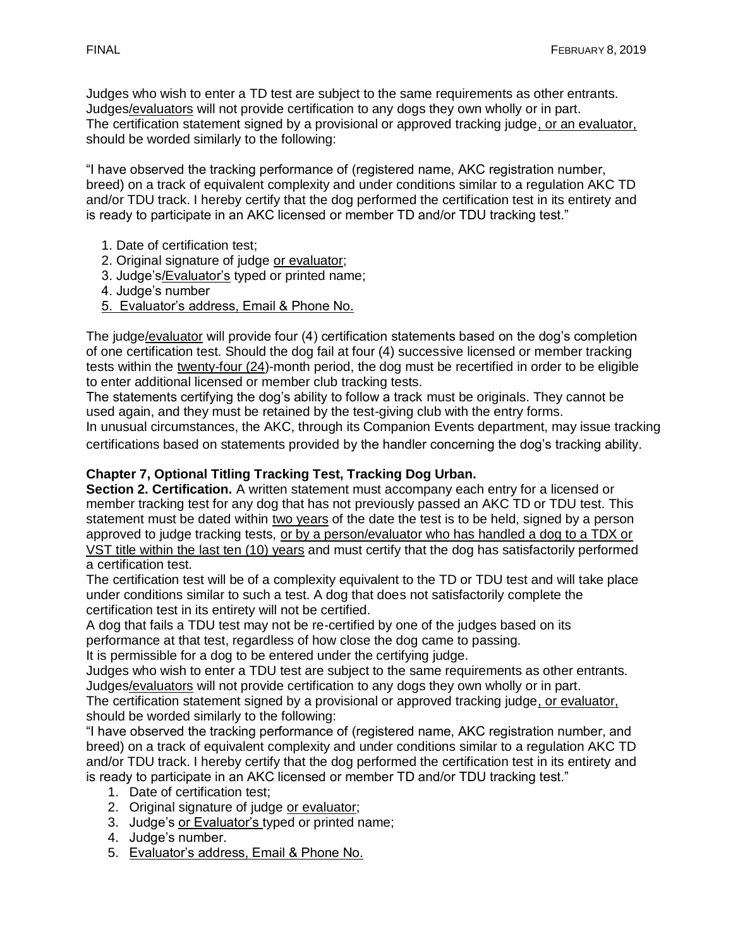Judges who wish to enter a TD test are subject to the same requirements as other entrants. Judges/evaluators will not provide certification to any dogs they own wholly or in part. The certification statement signed by a provisional or approved tracking judge, or an evaluator, should be worded similarly to the following:

"I have observed the tracking performance of (registered name, AKC registration number, breed) on a track of equivalent complexity and under conditions similar to a regulation AKC TD and/or TDU track. I hereby certify that the dog performed the certification test in its entirety and is ready to participate in an AKC licensed or member TD and/or TDU tracking test."

- 1. Date of certification test;
- 2. Original signature of judge or evaluator;
- 3. Judge's/Evaluator's typed or printed name;
- 4. Judge's number
- 5. Evaluator's address, Email & Phone No.

The judge/evaluator will provide four (4) certification statements based on the dog's completion of one certification test. Should the dog fail at four (4) successive licensed or member tracking tests within the twenty-four (24)-month period, the dog must be recertified in order to be eligible to enter additional licensed or member club tracking tests.

The statements certifying the dog's ability to follow a track must be originals. They cannot be used again, and they must be retained by the test-giving club with the entry forms.

In unusual circumstances, the AKC, through its Companion Events department, may issue tracking certifications based on statements provided by the handler concerning the dog's tracking ability.

## **Chapter 7, Optional Titling Tracking Test, Tracking Dog Urban.**

**Section 2. Certification.** A written statement must accompany each entry for a licensed or member tracking test for any dog that has not previously passed an AKC TD or TDU test. This statement must be dated within two years of the date the test is to be held, signed by a person approved to judge tracking tests, or by a person/evaluator who has handled a dog to a TDX or VST title within the last ten (10) years and must certify that the dog has satisfactorily performed a certification test.

The certification test will be of a complexity equivalent to the TD or TDU test and will take place under conditions similar to such a test. A dog that does not satisfactorily complete the certification test in its entirety will not be certified.

A dog that fails a TDU test may not be re-certified by one of the judges based on its performance at that test, regardless of how close the dog came to passing.

It is permissible for a dog to be entered under the certifying judge.

Judges who wish to enter a TDU test are subject to the same requirements as other entrants. Judges/evaluators will not provide certification to any dogs they own wholly or in part.

The certification statement signed by a provisional or approved tracking judge, or evaluator, should be worded similarly to the following:

"I have observed the tracking performance of (registered name, AKC registration number, and breed) on a track of equivalent complexity and under conditions similar to a regulation AKC TD and/or TDU track. I hereby certify that the dog performed the certification test in its entirety and is ready to participate in an AKC licensed or member TD and/or TDU tracking test."

- 1. Date of certification test;
- 2. Original signature of judge or evaluator;
- 3. Judge's or Evaluator's typed or printed name;
- 4. Judge's number.
- 5. Evaluator's address, Email & Phone No.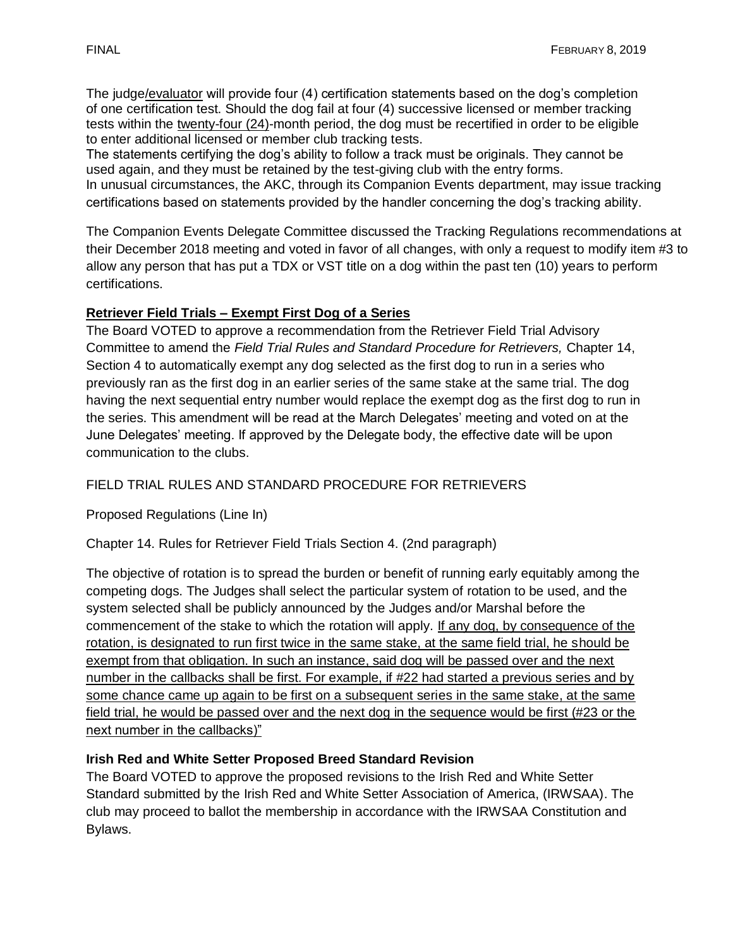The judge/evaluator will provide four (4) certification statements based on the dog's completion of one certification test. Should the dog fail at four (4) successive licensed or member tracking tests within the twenty-four (24)-month period, the dog must be recertified in order to be eligible to enter additional licensed or member club tracking tests.

The statements certifying the dog's ability to follow a track must be originals. They cannot be used again, and they must be retained by the test-giving club with the entry forms.

In unusual circumstances, the AKC, through its Companion Events department, may issue tracking certifications based on statements provided by the handler concerning the dog's tracking ability.

The Companion Events Delegate Committee discussed the Tracking Regulations recommendations at their December 2018 meeting and voted in favor of all changes, with only a request to modify item #3 to allow any person that has put a TDX or VST title on a dog within the past ten (10) years to perform certifications.

# **Retriever Field Trials – Exempt First Dog of a Series**

The Board VOTED to approve a recommendation from the Retriever Field Trial Advisory Committee to amend the *Field Trial Rules and Standard Procedure for Retrievers,* Chapter 14, Section 4 to automatically exempt any dog selected as the first dog to run in a series who previously ran as the first dog in an earlier series of the same stake at the same trial. The dog having the next sequential entry number would replace the exempt dog as the first dog to run in the series. This amendment will be read at the March Delegates' meeting and voted on at the June Delegates' meeting. If approved by the Delegate body, the effective date will be upon communication to the clubs.

# FIELD TRIAL RULES AND STANDARD PROCEDURE FOR RETRIEVERS

Proposed Regulations (Line In)

Chapter 14. Rules for Retriever Field Trials Section 4. (2nd paragraph)

The objective of rotation is to spread the burden or benefit of running early equitably among the competing dogs. The Judges shall select the particular system of rotation to be used, and the system selected shall be publicly announced by the Judges and/or Marshal before the commencement of the stake to which the rotation will apply. If any dog, by consequence of the rotation, is designated to run first twice in the same stake, at the same field trial, he should be exempt from that obligation. In such an instance, said dog will be passed over and the next number in the callbacks shall be first. For example, if #22 had started a previous series and by some chance came up again to be first on a subsequent series in the same stake, at the same field trial, he would be passed over and the next dog in the sequence would be first (#23 or the next number in the callbacks)"

# **Irish Red and White Setter Proposed Breed Standard Revision**

The Board VOTED to approve the proposed revisions to the Irish Red and White Setter Standard submitted by the Irish Red and White Setter Association of America, (IRWSAA). The club may proceed to ballot the membership in accordance with the IRWSAA Constitution and Bylaws.